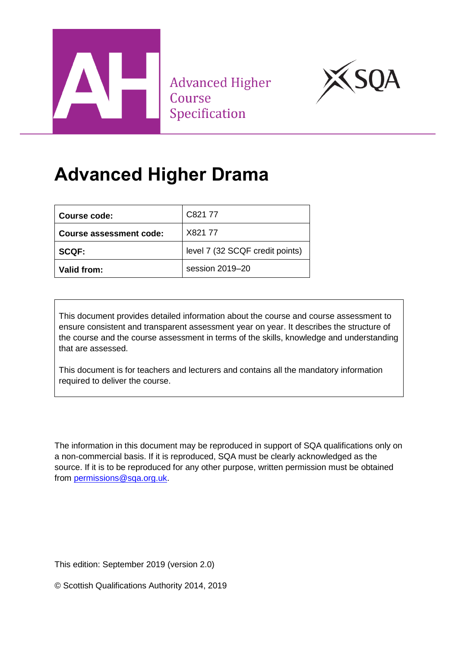

**Advanced Higher** Course Specification



# **Advanced Higher Drama**

| Course code:            | C821 77                         |
|-------------------------|---------------------------------|
| Course assessment code: | X821 77                         |
| <b>SCQF:</b>            | level 7 (32 SCQF credit points) |
| Valid from:             | session 2019-20                 |

This document provides detailed information about the course and course assessment to ensure consistent and transparent assessment year on year. It describes the structure of the course and the course assessment in terms of the skills, knowledge and understanding that are assessed.

This document is for teachers and lecturers and contains all the mandatory information required to deliver the course.

The information in this document may be reproduced in support of SQA qualifications only on a non-commercial basis. If it is reproduced, SQA must be clearly acknowledged as the source. If it is to be reproduced for any other purpose, written permission must be obtained from [permissions@sqa.org.uk.](mailto:permissions@sqa.org.uk)

This edition: September 2019 (version 2.0)

© Scottish Qualifications Authority 2014, 2019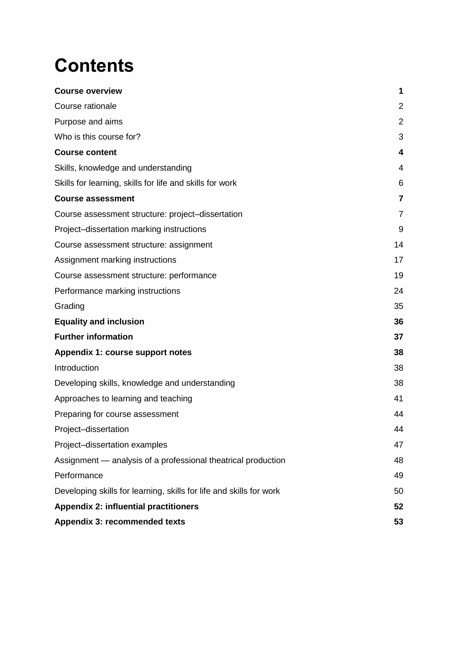# **Contents**

| <b>Course overview</b>                                              | 1              |
|---------------------------------------------------------------------|----------------|
| Course rationale                                                    | $\overline{2}$ |
| Purpose and aims                                                    | $\overline{2}$ |
| Who is this course for?                                             | 3              |
| <b>Course content</b>                                               | 4              |
| Skills, knowledge and understanding                                 | 4              |
| Skills for learning, skills for life and skills for work            | 6              |
| <b>Course assessment</b>                                            | 7              |
| Course assessment structure: project-dissertation                   | 7              |
| Project-dissertation marking instructions                           | 9              |
| Course assessment structure: assignment                             | 14             |
| Assignment marking instructions                                     | 17             |
| Course assessment structure: performance                            | 19             |
| Performance marking instructions                                    | 24             |
| Grading                                                             | 35             |
| <b>Equality and inclusion</b>                                       | 36             |
| <b>Further information</b>                                          | 37             |
| Appendix 1: course support notes                                    | 38             |
| Introduction                                                        | 38             |
| Developing skills, knowledge and understanding                      | 38             |
| Approaches to learning and teaching                                 | 41             |
| Preparing for course assessment                                     | 44             |
| Project-dissertation                                                | 44             |
| Project-dissertation examples                                       | 47             |
| Assignment - analysis of a professional theatrical production       | 48             |
| Performance                                                         | 49             |
| Developing skills for learning, skills for life and skills for work | 50             |
| <b>Appendix 2: influential practitioners</b>                        | 52             |
| Appendix 3: recommended texts                                       | 53             |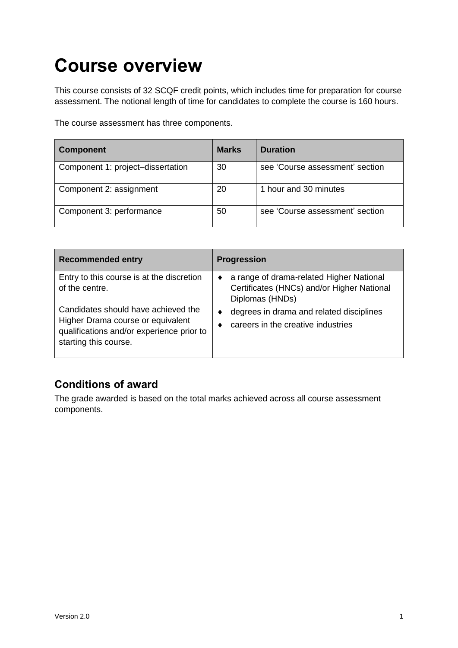# <span id="page-2-0"></span>**Course overview**

This course consists of 32 SCQF credit points, which includes time for preparation for course assessment. The notional length of time for candidates to complete the course is 160 hours.

The course assessment has three components.

| <b>Component</b>                  | <b>Marks</b> | <b>Duration</b>                 |
|-----------------------------------|--------------|---------------------------------|
| Component 1: project-dissertation | 30           | see 'Course assessment' section |
| Component 2: assignment           | 20           | 1 hour and 30 minutes           |
| Component 3: performance          | 50           | see 'Course assessment' section |

| <b>Recommended entry</b>                                                                                                                       | <b>Progression</b>                                                                                             |
|------------------------------------------------------------------------------------------------------------------------------------------------|----------------------------------------------------------------------------------------------------------------|
| Entry to this course is at the discretion<br>of the centre.                                                                                    | a range of drama-related Higher National<br>٠<br>Certificates (HNCs) and/or Higher National<br>Diplomas (HNDs) |
| Candidates should have achieved the<br>Higher Drama course or equivalent<br>qualifications and/or experience prior to<br>starting this course. | degrees in drama and related disciplines<br>٠<br>careers in the creative industries                            |

### **Conditions of award**

The grade awarded is based on the total marks achieved across all course assessment components.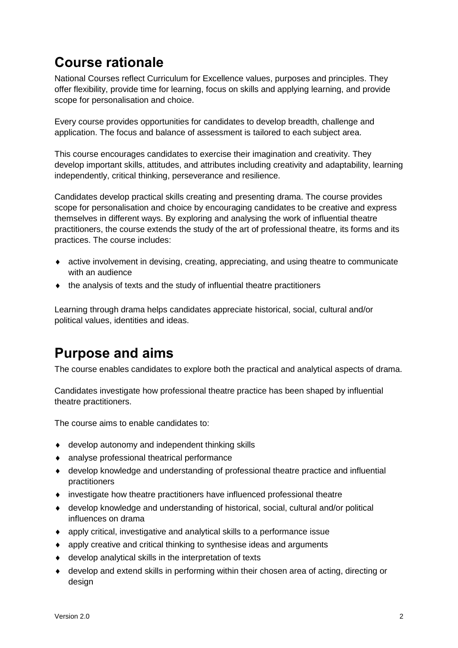# <span id="page-3-0"></span>**Course rationale**

National Courses reflect Curriculum for Excellence values, purposes and principles. They offer flexibility, provide time for learning, focus on skills and applying learning, and provide scope for personalisation and choice.

Every course provides opportunities for candidates to develop breadth, challenge and application. The focus and balance of assessment is tailored to each subject area.

This course encourages candidates to exercise their imagination and creativity. They develop important skills, attitudes, and attributes including creativity and adaptability, learning independently, critical thinking, perseverance and resilience.

Candidates develop practical skills creating and presenting drama. The course provides scope for personalisation and choice by encouraging candidates to be creative and express themselves in different ways. By exploring and analysing the work of influential theatre practitioners, the course extends the study of the art of professional theatre, its forms and its practices. The course includes:

- active involvement in devising, creating, appreciating, and using theatre to communicate with an audience
- the analysis of texts and the study of influential theatre practitioners

Learning through drama helps candidates appreciate historical, social, cultural and/or political values, identities and ideas.

# <span id="page-3-1"></span>**Purpose and aims**

The course enables candidates to explore both the practical and analytical aspects of drama.

Candidates investigate how professional theatre practice has been shaped by influential theatre practitioners.

The course aims to enable candidates to:

- develop autonomy and independent thinking skills
- analyse professional theatrical performance
- develop knowledge and understanding of professional theatre practice and influential practitioners
- investigate how theatre practitioners have influenced professional theatre
- develop knowledge and understanding of historical, social, cultural and/or political influences on drama
- apply critical, investigative and analytical skills to a performance issue
- apply creative and critical thinking to synthesise ideas and arguments
- develop analytical skills in the interpretation of texts
- develop and extend skills in performing within their chosen area of acting, directing or design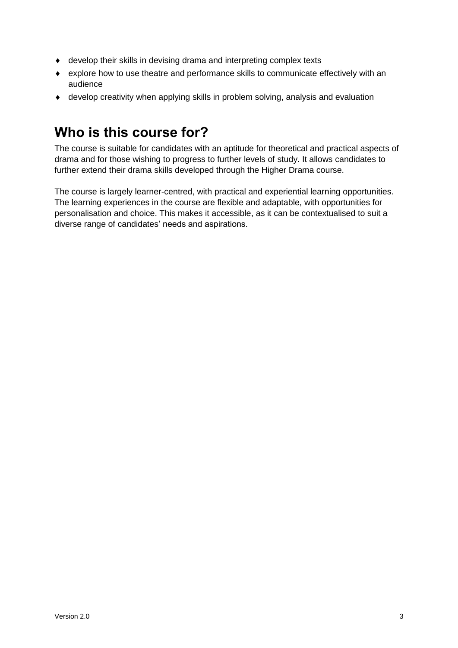- develop their skills in devising drama and interpreting complex texts
- explore how to use theatre and performance skills to communicate effectively with an audience
- develop creativity when applying skills in problem solving, analysis and evaluation

# <span id="page-4-0"></span>**Who is this course for?**

The course is suitable for candidates with an aptitude for theoretical and practical aspects of drama and for those wishing to progress to further levels of study. It allows candidates to further extend their drama skills developed through the Higher Drama course.

The course is largely learner-centred, with practical and experiential learning opportunities. The learning experiences in the course are flexible and adaptable, with opportunities for personalisation and choice. This makes it accessible, as it can be contextualised to suit a diverse range of candidates' needs and aspirations.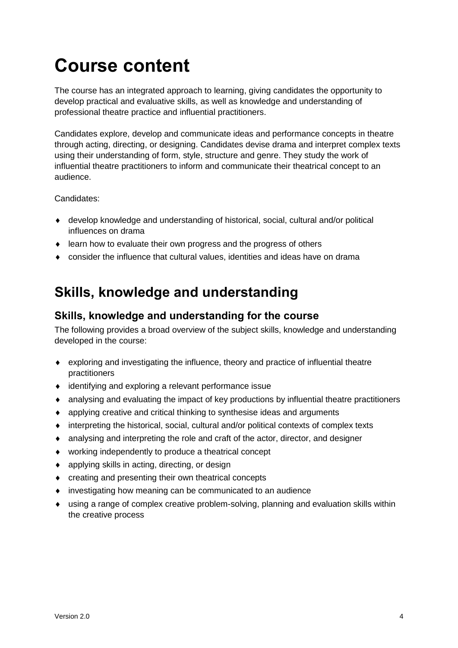# <span id="page-5-0"></span>**Course content**

The course has an integrated approach to learning, giving candidates the opportunity to develop practical and evaluative skills, as well as knowledge and understanding of professional theatre practice and influential practitioners.

Candidates explore, develop and communicate ideas and performance concepts in theatre through acting, directing, or designing. Candidates devise drama and interpret complex texts using their understanding of form, style, structure and genre. They study the work of influential theatre practitioners to inform and communicate their theatrical concept to an audience.

Candidates:

- develop knowledge and understanding of historical, social, cultural and/or political influences on drama
- learn how to evaluate their own progress and the progress of others
- consider the influence that cultural values, identities and ideas have on drama

# <span id="page-5-1"></span>**Skills, knowledge and understanding**

### **Skills, knowledge and understanding for the course**

The following provides a broad overview of the subject skills, knowledge and understanding developed in the course:

- exploring and investigating the influence, theory and practice of influential theatre practitioners
- identifying and exploring a relevant performance issue
- analysing and evaluating the impact of key productions by influential theatre practitioners
- applying creative and critical thinking to synthesise ideas and arguments
- interpreting the historical, social, cultural and/or political contexts of complex texts
- analysing and interpreting the role and craft of the actor, director, and designer
- working independently to produce a theatrical concept
- applying skills in acting, directing, or design
- creating and presenting their own theatrical concepts
- investigating how meaning can be communicated to an audience
- using a range of complex creative problem-solving, planning and evaluation skills within the creative process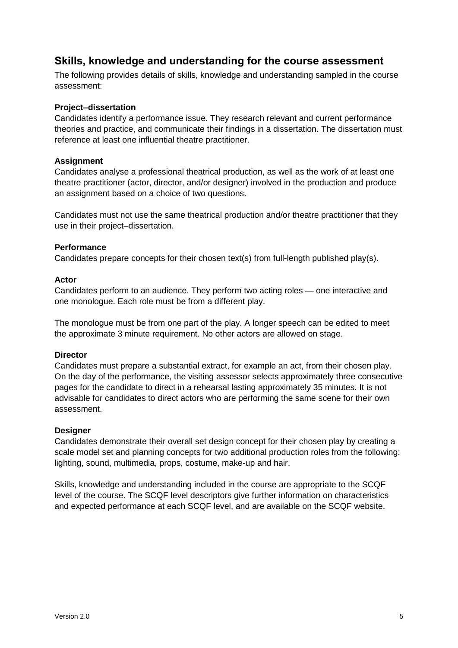### **Skills, knowledge and understanding for the course assessment**

The following provides details of skills, knowledge and understanding sampled in the course assessment:

#### **Project–dissertation**

Candidates identify a performance issue. They research relevant and current performance theories and practice, and communicate their findings in a dissertation. The dissertation must reference at least one influential theatre practitioner.

#### **Assignment**

Candidates analyse a professional theatrical production, as well as the work of at least one theatre practitioner (actor, director, and/or designer) involved in the production and produce an assignment based on a choice of two questions.

Candidates must not use the same theatrical production and/or theatre practitioner that they use in their project–dissertation.

#### **Performance**

Candidates prepare concepts for their chosen text(s) from full-length published play(s).

#### **Actor**

Candidates perform to an audience. They perform two acting roles — one interactive and one monologue. Each role must be from a different play.

The monologue must be from one part of the play. A longer speech can be edited to meet the approximate 3 minute requirement. No other actors are allowed on stage.

#### **Director**

Candidates must prepare a substantial extract, for example an act, from their chosen play. On the day of the performance, the visiting assessor selects approximately three consecutive pages for the candidate to direct in a rehearsal lasting approximately 35 minutes. It is not advisable for candidates to direct actors who are performing the same scene for their own assessment.

#### **Designer**

Candidates demonstrate their overall set design concept for their chosen play by creating a scale model set and planning concepts for two additional production roles from the following: lighting, sound, multimedia, props, costume, make-up and hair.

Skills, knowledge and understanding included in the course are appropriate to the SCQF level of the course. The SCQF level descriptors give further information on characteristics and expected performance at each SCQF level, and are available on the SCQF website.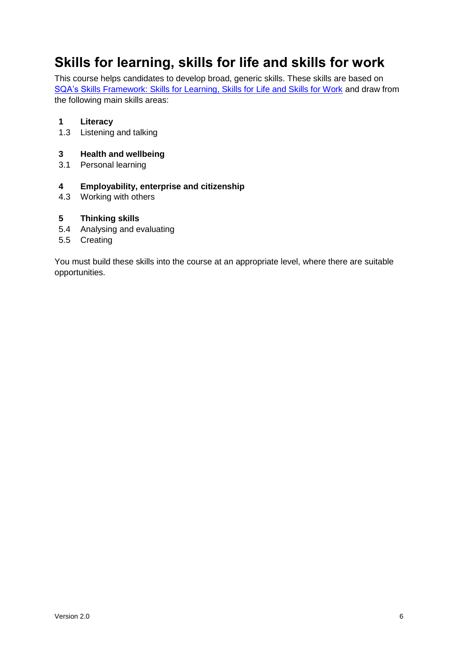# <span id="page-7-0"></span>**Skills for learning, skills for life and skills for work**

This course helps candidates to develop broad, generic skills. These skills are based on [SQA's Skills Framework: Skills for Learning, Skills for Life and Skills for Work](http://www.sqa.org.uk/sqa/63101.html) and draw from the following main skills areas:

#### **1 Literacy**

1.3 Listening and talking

#### **3 Health and wellbeing**

3.1 Personal learning

#### **4 Employability, enterprise and citizenship**

4.3 Working with others

#### **5 Thinking skills**

- 5.4 Analysing and evaluating
- 5.5 Creating

You must build these skills into the course at an appropriate level, where there are suitable opportunities.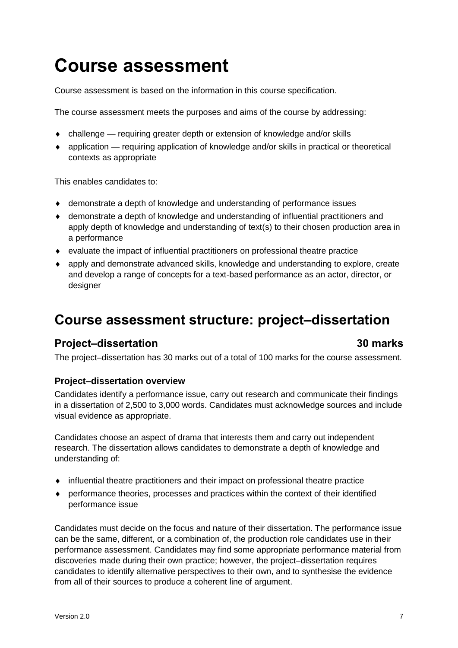# <span id="page-8-0"></span>**Course assessment**

Course assessment is based on the information in this course specification.

The course assessment meets the purposes and aims of the course by addressing:

- challenge requiring greater depth or extension of knowledge and/or skills
- application requiring application of knowledge and/or skills in practical or theoretical contexts as appropriate

This enables candidates to:

- demonstrate a depth of knowledge and understanding of performance issues
- demonstrate a depth of knowledge and understanding of influential practitioners and apply depth of knowledge and understanding of text(s) to their chosen production area in a performance
- evaluate the impact of influential practitioners on professional theatre practice
- apply and demonstrate advanced skills, knowledge and understanding to explore, create and develop a range of concepts for a text-based performance as an actor, director, or designer

## <span id="page-8-1"></span>**Course assessment structure: project–dissertation**

### **Project–dissertation 30 marks**

The project–dissertation has 30 marks out of a total of 100 marks for the course assessment.

#### **Project–dissertation overview**

Candidates identify a performance issue, carry out research and communicate their findings in a dissertation of 2,500 to 3,000 words. Candidates must acknowledge sources and include visual evidence as appropriate.

Candidates choose an aspect of drama that interests them and carry out independent research. The dissertation allows candidates to demonstrate a depth of knowledge and understanding of:

- influential theatre practitioners and their impact on professional theatre practice
- performance theories, processes and practices within the context of their identified performance issue

Candidates must decide on the focus and nature of their dissertation. The performance issue can be the same, different, or a combination of, the production role candidates use in their performance assessment. Candidates may find some appropriate performance material from discoveries made during their own practice; however, the project–dissertation requires candidates to identify alternative perspectives to their own, and to synthesise the evidence from all of their sources to produce a coherent line of argument.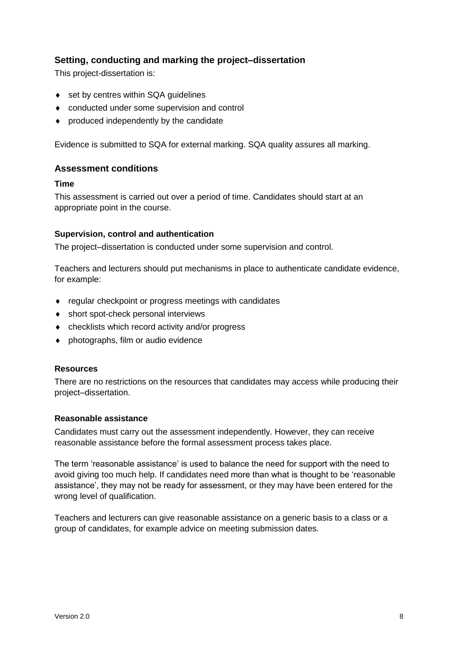#### **Setting, conducting and marking the project–dissertation**

This project-dissertation is:

- ◆ set by centres within SQA guidelines
- conducted under some supervision and control
- produced independently by the candidate

Evidence is submitted to SQA for external marking. SQA quality assures all marking.

#### **Assessment conditions**

#### **Time**

This assessment is carried out over a period of time. Candidates should start at an appropriate point in the course.

#### **Supervision, control and authentication**

The project–dissertation is conducted under some supervision and control.

Teachers and lecturers should put mechanisms in place to authenticate candidate evidence, for example:

- regular checkpoint or progress meetings with candidates
- short spot-check personal interviews
- checklists which record activity and/or progress
- photographs, film or audio evidence

#### **Resources**

There are no restrictions on the resources that candidates may access while producing their project–dissertation.

#### **Reasonable assistance**

Candidates must carry out the assessment independently. However, they can receive reasonable assistance before the formal assessment process takes place.

The term 'reasonable assistance' is used to balance the need for support with the need to avoid giving too much help. If candidates need more than what is thought to be 'reasonable assistance', they may not be ready for assessment, or they may have been entered for the wrong level of qualification.

Teachers and lecturers can give reasonable assistance on a generic basis to a class or a group of candidates, for example advice on meeting submission dates.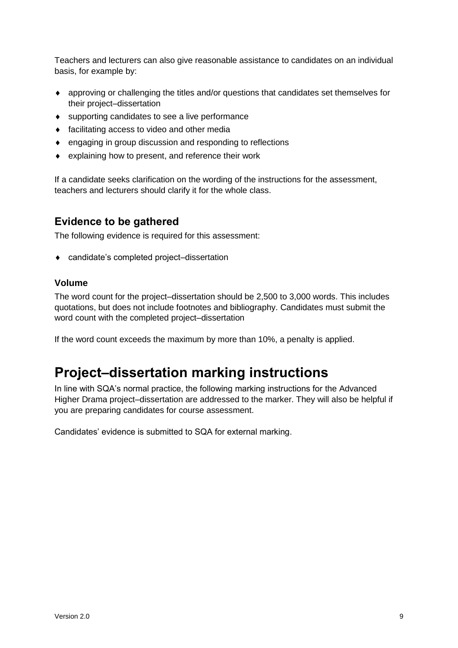Teachers and lecturers can also give reasonable assistance to candidates on an individual basis, for example by:

- approving or challenging the titles and/or questions that candidates set themselves for their project–dissertation
- supporting candidates to see a live performance
- facilitating access to video and other media
- engaging in group discussion and responding to reflections
- explaining how to present, and reference their work

If a candidate seeks clarification on the wording of the instructions for the assessment, teachers and lecturers should clarify it for the whole class.

### **Evidence to be gathered**

The following evidence is required for this assessment:

◆ candidate's completed project–dissertation

#### **Volume**

The word count for the project–dissertation should be 2,500 to 3,000 words. This includes quotations, but does not include footnotes and bibliography. Candidates must submit the word count with the completed project–dissertation

If the word count exceeds the maximum by more than 10%, a penalty is applied.

# <span id="page-10-0"></span>**Project–dissertation marking instructions**

In line with SQA's normal practice, the following marking instructions for the Advanced Higher Drama project–dissertation are addressed to the marker. They will also be helpful if you are preparing candidates for course assessment.

Candidates' evidence is submitted to SQA for external marking.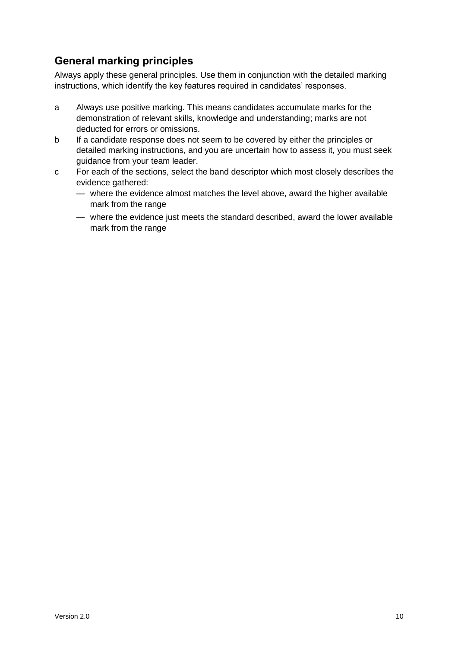### **General marking principles**

Always apply these general principles. Use them in conjunction with the detailed marking instructions, which identify the key features required in candidates' responses.

- a Always use positive marking. This means candidates accumulate marks for the demonstration of relevant skills, knowledge and understanding; marks are not deducted for errors or omissions.
- b If a candidate response does not seem to be covered by either the principles or detailed marking instructions, and you are uncertain how to assess it, you must seek guidance from your team leader.
- c For each of the sections, select the band descriptor which most closely describes the evidence gathered:
	- where the evidence almost matches the level above, award the higher available mark from the range
	- where the evidence just meets the standard described, award the lower available mark from the range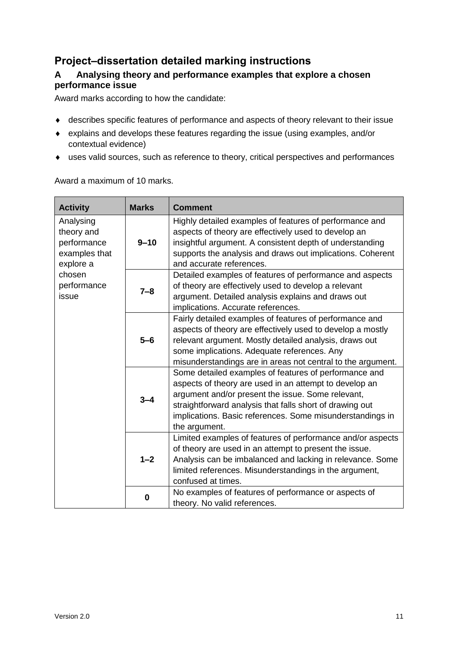### **Project–dissertation detailed marking instructions**

### **A Analysing theory and performance examples that explore a chosen performance issue**

Award marks according to how the candidate:

- describes specific features of performance and aspects of theory relevant to their issue
- explains and develops these features regarding the issue (using examples, and/or contextual evidence)
- uses valid sources, such as reference to theory, critical perspectives and performances

Award a maximum of 10 marks.

| <b>Activity</b>                                                      | <b>Marks</b> | <b>Comment</b>                                                                                                                                                                                                                                                                                                 |
|----------------------------------------------------------------------|--------------|----------------------------------------------------------------------------------------------------------------------------------------------------------------------------------------------------------------------------------------------------------------------------------------------------------------|
| Analysing<br>theory and<br>performance<br>examples that<br>explore a | $9 - 10$     | Highly detailed examples of features of performance and<br>aspects of theory are effectively used to develop an<br>insightful argument. A consistent depth of understanding<br>supports the analysis and draws out implications. Coherent<br>and accurate references.                                          |
| chosen<br>performance<br>issue                                       | $7 - 8$      | Detailed examples of features of performance and aspects<br>of theory are effectively used to develop a relevant<br>argument. Detailed analysis explains and draws out<br>implications. Accurate references.                                                                                                   |
|                                                                      | $5 - 6$      | Fairly detailed examples of features of performance and<br>aspects of theory are effectively used to develop a mostly<br>relevant argument. Mostly detailed analysis, draws out<br>some implications. Adequate references. Any<br>misunderstandings are in areas not central to the argument.                  |
|                                                                      | $3 - 4$      | Some detailed examples of features of performance and<br>aspects of theory are used in an attempt to develop an<br>argument and/or present the issue. Some relevant,<br>straightforward analysis that falls short of drawing out<br>implications. Basic references. Some misunderstandings in<br>the argument. |
|                                                                      | $1 - 2$      | Limited examples of features of performance and/or aspects<br>of theory are used in an attempt to present the issue.<br>Analysis can be imbalanced and lacking in relevance. Some<br>limited references. Misunderstandings in the argument,<br>confused at times.                                              |
|                                                                      | 0            | No examples of features of performance or aspects of<br>theory. No valid references.                                                                                                                                                                                                                           |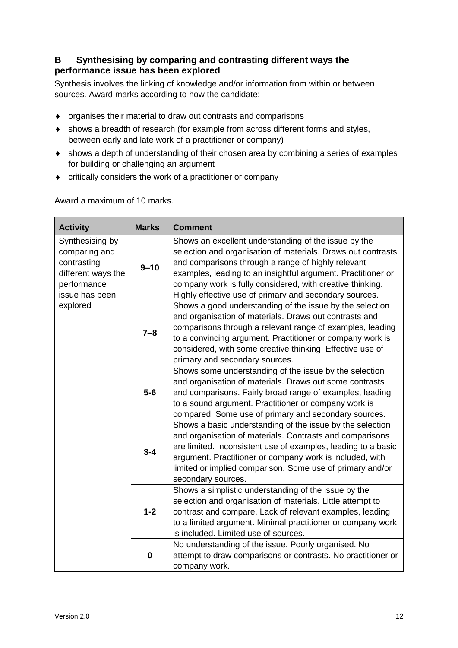### **B Synthesising by comparing and contrasting different ways the performance issue has been explored**

Synthesis involves the linking of knowledge and/or information from within or between sources. Award marks according to how the candidate:

- organises their material to draw out contrasts and comparisons
- shows a breadth of research (for example from across different forms and styles, between early and late work of a practitioner or company)
- shows a depth of understanding of their chosen area by combining a series of examples for building or challenging an argument
- critically considers the work of a practitioner or company

Award a maximum of 10 marks.

| <b>Activity</b>                                                                                        | <b>Marks</b> | <b>Comment</b>                                                                                                                                                                                                                                                                                                                                                    |
|--------------------------------------------------------------------------------------------------------|--------------|-------------------------------------------------------------------------------------------------------------------------------------------------------------------------------------------------------------------------------------------------------------------------------------------------------------------------------------------------------------------|
| Synthesising by<br>comparing and<br>contrasting<br>different ways the<br>performance<br>issue has been | $9 - 10$     | Shows an excellent understanding of the issue by the<br>selection and organisation of materials. Draws out contrasts<br>and comparisons through a range of highly relevant<br>examples, leading to an insightful argument. Practitioner or<br>company work is fully considered, with creative thinking.<br>Highly effective use of primary and secondary sources. |
| explored                                                                                               | $7 - 8$      | Shows a good understanding of the issue by the selection<br>and organisation of materials. Draws out contrasts and<br>comparisons through a relevant range of examples, leading<br>to a convincing argument. Practitioner or company work is<br>considered, with some creative thinking. Effective use of<br>primary and secondary sources.                       |
|                                                                                                        | $5-6$        | Shows some understanding of the issue by the selection<br>and organisation of materials. Draws out some contrasts<br>and comparisons. Fairly broad range of examples, leading<br>to a sound argument. Practitioner or company work is<br>compared. Some use of primary and secondary sources.                                                                     |
|                                                                                                        | $3 - 4$      | Shows a basic understanding of the issue by the selection<br>and organisation of materials. Contrasts and comparisons<br>are limited. Inconsistent use of examples, leading to a basic<br>argument. Practitioner or company work is included, with<br>limited or implied comparison. Some use of primary and/or<br>secondary sources.                             |
|                                                                                                        | $1 - 2$      | Shows a simplistic understanding of the issue by the<br>selection and organisation of materials. Little attempt to<br>contrast and compare. Lack of relevant examples, leading<br>to a limited argument. Minimal practitioner or company work<br>is included. Limited use of sources.                                                                             |
|                                                                                                        | $\mathbf 0$  | No understanding of the issue. Poorly organised. No<br>attempt to draw comparisons or contrasts. No practitioner or<br>company work.                                                                                                                                                                                                                              |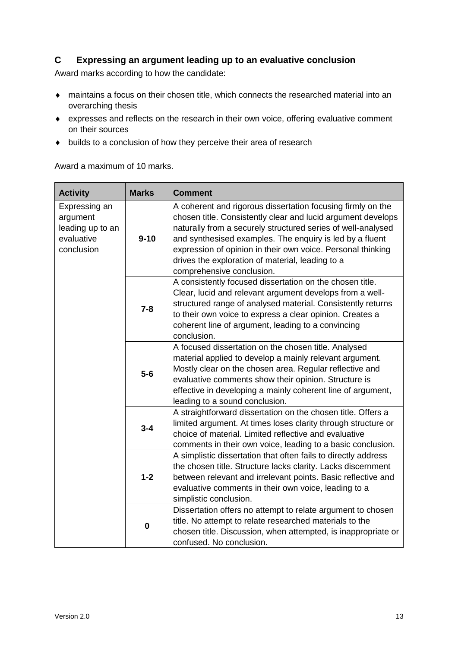#### **C Expressing an argument leading up to an evaluative conclusion**

Award marks according to how the candidate:

- maintains a focus on their chosen title, which connects the researched material into an overarching thesis
- expresses and reflects on the research in their own voice, offering evaluative comment on their sources
- $\bullet$  builds to a conclusion of how they perceive their area of research

Award a maximum of 10 marks.

| <b>Activity</b>                                                           | <b>Marks</b> | <b>Comment</b>                                                                                                                                                                                                                                                                                                                                                                                          |
|---------------------------------------------------------------------------|--------------|---------------------------------------------------------------------------------------------------------------------------------------------------------------------------------------------------------------------------------------------------------------------------------------------------------------------------------------------------------------------------------------------------------|
| Expressing an<br>argument<br>leading up to an<br>evaluative<br>conclusion | $9 - 10$     | A coherent and rigorous dissertation focusing firmly on the<br>chosen title. Consistently clear and lucid argument develops<br>naturally from a securely structured series of well-analysed<br>and synthesised examples. The enquiry is led by a fluent<br>expression of opinion in their own voice. Personal thinking<br>drives the exploration of material, leading to a<br>comprehensive conclusion. |
|                                                                           | $7 - 8$      | A consistently focused dissertation on the chosen title.<br>Clear, lucid and relevant argument develops from a well-<br>structured range of analysed material. Consistently returns<br>to their own voice to express a clear opinion. Creates a<br>coherent line of argument, leading to a convincing<br>conclusion.                                                                                    |
|                                                                           | $5-6$        | A focused dissertation on the chosen title. Analysed<br>material applied to develop a mainly relevant argument.<br>Mostly clear on the chosen area. Regular reflective and<br>evaluative comments show their opinion. Structure is<br>effective in developing a mainly coherent line of argument,<br>leading to a sound conclusion.                                                                     |
|                                                                           | $3 - 4$      | A straightforward dissertation on the chosen title. Offers a<br>limited argument. At times loses clarity through structure or<br>choice of material. Limited reflective and evaluative<br>comments in their own voice, leading to a basic conclusion.                                                                                                                                                   |
|                                                                           | $1 - 2$      | A simplistic dissertation that often fails to directly address<br>the chosen title. Structure lacks clarity. Lacks discernment<br>between relevant and irrelevant points. Basic reflective and<br>evaluative comments in their own voice, leading to a<br>simplistic conclusion.                                                                                                                        |
|                                                                           | $\mathbf 0$  | Dissertation offers no attempt to relate argument to chosen<br>title. No attempt to relate researched materials to the<br>chosen title. Discussion, when attempted, is inappropriate or<br>confused. No conclusion.                                                                                                                                                                                     |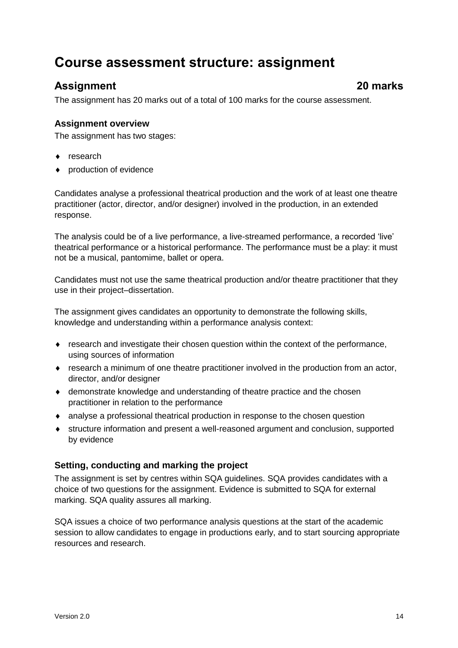# <span id="page-15-0"></span>**Course assessment structure: assignment**

### **Assignment 20 marks**

The assignment has 20 marks out of a total of 100 marks for the course assessment.

### **Assignment overview**

The assignment has two stages:

- ◆ research
- production of evidence

Candidates analyse a professional theatrical production and the work of at least one theatre practitioner (actor, director, and/or designer) involved in the production, in an extended response.

The analysis could be of a live performance, a live-streamed performance, a recorded 'live' theatrical performance or a historical performance. The performance must be a play: it must not be a musical, pantomime, ballet or opera.

Candidates must not use the same theatrical production and/or theatre practitioner that they use in their project–dissertation.

The assignment gives candidates an opportunity to demonstrate the following skills, knowledge and understanding within a performance analysis context:

- research and investigate their chosen question within the context of the performance, using sources of information
- research a minimum of one theatre practitioner involved in the production from an actor, director, and/or designer
- demonstrate knowledge and understanding of theatre practice and the chosen practitioner in relation to the performance
- analyse a professional theatrical production in response to the chosen question
- structure information and present a well-reasoned argument and conclusion, supported by evidence

### **Setting, conducting and marking the project**

The assignment is set by centres within SQA guidelines. SQA provides candidates with a choice of two questions for the assignment. Evidence is submitted to SQA for external marking. SQA quality assures all marking.

SQA issues a choice of two performance analysis questions at the start of the academic session to allow candidates to engage in productions early, and to start sourcing appropriate resources and research.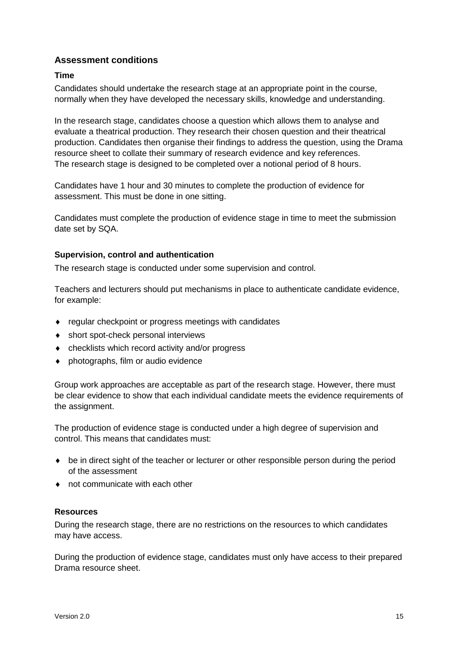#### **Assessment conditions**

#### **Time**

Candidates should undertake the research stage at an appropriate point in the course, normally when they have developed the necessary skills, knowledge and understanding.

In the research stage, candidates choose a question which allows them to analyse and evaluate a theatrical production. They research their chosen question and their theatrical production. Candidates then organise their findings to address the question, using the Drama resource sheet to collate their summary of research evidence and key references. The research stage is designed to be completed over a notional period of 8 hours.

Candidates have 1 hour and 30 minutes to complete the production of evidence for assessment. This must be done in one sitting.

Candidates must complete the production of evidence stage in time to meet the submission date set by SQA.

#### **Supervision, control and authentication**

The research stage is conducted under some supervision and control.

Teachers and lecturers should put mechanisms in place to authenticate candidate evidence, for example:

- regular checkpoint or progress meetings with candidates
- ◆ short spot-check personal interviews
- checklists which record activity and/or progress
- ◆ photographs, film or audio evidence

Group work approaches are acceptable as part of the research stage. However, there must be clear evidence to show that each individual candidate meets the evidence requirements of the assignment.

The production of evidence stage is conducted under a high degree of supervision and control. This means that candidates must:

- be in direct sight of the teacher or lecturer or other responsible person during the period of the assessment
- not communicate with each other

#### **Resources**

During the research stage, there are no restrictions on the resources to which candidates may have access.

During the production of evidence stage, candidates must only have access to their prepared Drama resource sheet.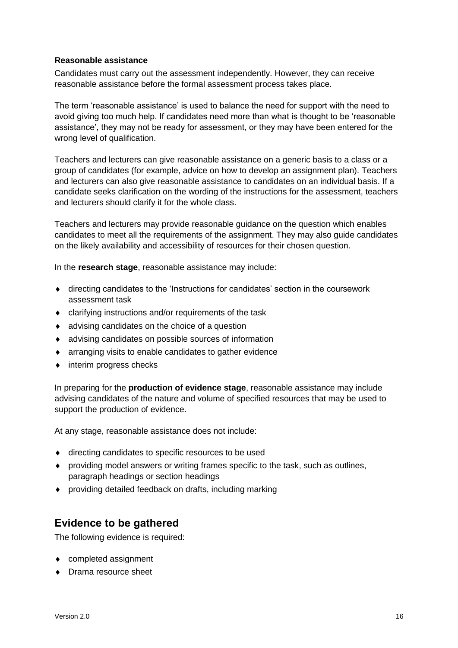#### **Reasonable assistance**

Candidates must carry out the assessment independently. However, they can receive reasonable assistance before the formal assessment process takes place.

The term 'reasonable assistance' is used to balance the need for support with the need to avoid giving too much help. If candidates need more than what is thought to be 'reasonable assistance', they may not be ready for assessment, or they may have been entered for the wrong level of qualification.

Teachers and lecturers can give reasonable assistance on a generic basis to a class or a group of candidates (for example, advice on how to develop an assignment plan). Teachers and lecturers can also give reasonable assistance to candidates on an individual basis. If a candidate seeks clarification on the wording of the instructions for the assessment, teachers and lecturers should clarify it for the whole class.

Teachers and lecturers may provide reasonable guidance on the question which enables candidates to meet all the requirements of the assignment. They may also guide candidates on the likely availability and accessibility of resources for their chosen question.

In the **research stage**, reasonable assistance may include:

- directing candidates to the 'Instructions for candidates' section in the coursework assessment task
- clarifying instructions and/or requirements of the task
- advising candidates on the choice of a question
- advising candidates on possible sources of information
- arranging visits to enable candidates to gather evidence
- interim progress checks

In preparing for the **production of evidence stage**, reasonable assistance may include advising candidates of the nature and volume of specified resources that may be used to support the production of evidence.

At any stage, reasonable assistance does not include:

- $\bullet$  directing candidates to specific resources to be used
- providing model answers or writing frames specific to the task, such as outlines, paragraph headings or section headings
- providing detailed feedback on drafts, including marking

### **Evidence to be gathered**

The following evidence is required:

- completed assignment
- ◆ Drama resource sheet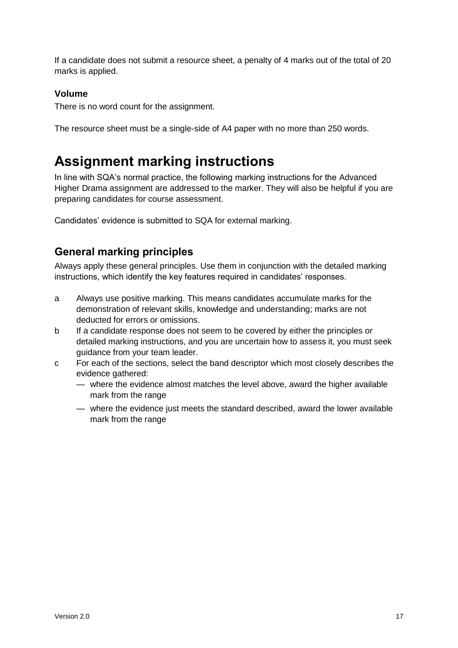If a candidate does not submit a resource sheet, a penalty of 4 marks out of the total of 20 marks is applied.

### **Volume**

There is no word count for the assignment.

The resource sheet must be a single-side of A4 paper with no more than 250 words.

# <span id="page-18-0"></span>**Assignment marking instructions**

In line with SQA's normal practice, the following marking instructions for the Advanced Higher Drama assignment are addressed to the marker. They will also be helpful if you are preparing candidates for course assessment.

Candidates' evidence is submitted to SQA for external marking.

### **General marking principles**

Always apply these general principles. Use them in conjunction with the detailed marking instructions, which identify the key features required in candidates' responses.

- a Always use positive marking. This means candidates accumulate marks for the demonstration of relevant skills, knowledge and understanding; marks are not deducted for errors or omissions.
- b If a candidate response does not seem to be covered by either the principles or detailed marking instructions, and you are uncertain how to assess it, you must seek guidance from your team leader.
- c For each of the sections, select the band descriptor which most closely describes the evidence gathered:
	- where the evidence almost matches the level above, award the higher available mark from the range
	- where the evidence just meets the standard described, award the lower available mark from the range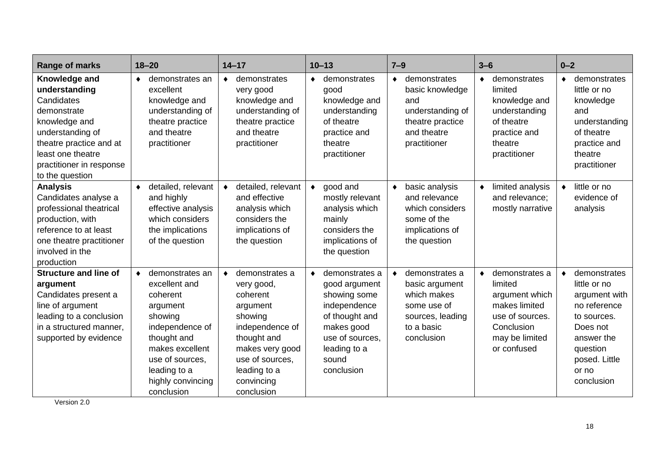| Range of marks                                                                                                                                                                                  | $18 - 20$                                                                                                                                                                                                   | $14 - 17$                                                                                                                                                                                        | $10 - 13$                                                                                                                                                              | $7 - 9$                                                                                                                     | $3 - 6$                                                                                                                                     | $0 - 2$                                                                                                                                                                 |
|-------------------------------------------------------------------------------------------------------------------------------------------------------------------------------------------------|-------------------------------------------------------------------------------------------------------------------------------------------------------------------------------------------------------------|--------------------------------------------------------------------------------------------------------------------------------------------------------------------------------------------------|------------------------------------------------------------------------------------------------------------------------------------------------------------------------|-----------------------------------------------------------------------------------------------------------------------------|---------------------------------------------------------------------------------------------------------------------------------------------|-------------------------------------------------------------------------------------------------------------------------------------------------------------------------|
| Knowledge and<br>understanding<br>Candidates<br>demonstrate<br>knowledge and<br>understanding of<br>theatre practice and at<br>least one theatre<br>practitioner in response<br>to the question | demonstrates an<br>$\bullet$<br>excellent<br>knowledge and<br>understanding of<br>theatre practice<br>and theatre<br>practitioner                                                                           | demonstrates<br>$\bullet$<br>very good<br>knowledge and<br>understanding of<br>theatre practice<br>and theatre<br>practitioner                                                                   | demonstrates<br>$\bullet$<br>good<br>knowledge and<br>understanding<br>of theatre<br>practice and<br>theatre<br>practitioner                                           | demonstrates<br>$\bullet$<br>basic knowledge<br>and<br>understanding of<br>theatre practice<br>and theatre<br>practitioner  | demonstrates<br>$\bullet$<br>limited<br>knowledge and<br>understanding<br>of theatre<br>practice and<br>theatre<br>practitioner             | demonstrates<br>$\bullet$<br>little or no<br>knowledge<br>and<br>understanding<br>of theatre<br>practice and<br>theatre<br>practitioner                                 |
| <b>Analysis</b><br>Candidates analyse a<br>professional theatrical<br>production, with<br>reference to at least<br>one theatre practitioner<br>involved in the<br>production                    | detailed, relevant<br>$\bullet$<br>and highly<br>effective analysis<br>which considers<br>the implications<br>of the question                                                                               | detailed, relevant<br>$\bullet$<br>and effective<br>analysis which<br>considers the<br>implications of<br>the question                                                                           | good and<br>$\bullet$<br>mostly relevant<br>analysis which<br>mainly<br>considers the<br>implications of<br>the question                                               | basic analysis<br>$\bullet$<br>and relevance<br>which considers<br>some of the<br>implications of<br>the question           | limited analysis<br>$\bullet$<br>and relevance:<br>mostly narrative                                                                         | little or no<br>$\bullet$<br>evidence of<br>analysis                                                                                                                    |
| <b>Structure and line of</b><br>argument<br>Candidates present a<br>line of argument<br>leading to a conclusion<br>in a structured manner,<br>supported by evidence                             | demonstrates an<br>$\bullet$<br>excellent and<br>coherent<br>argument<br>showing<br>independence of<br>thought and<br>makes excellent<br>use of sources,<br>leading to a<br>highly convincing<br>conclusion | demonstrates a<br>$\bullet$<br>very good,<br>coherent<br>argument<br>showing<br>independence of<br>thought and<br>makes very good<br>use of sources,<br>leading to a<br>convincing<br>conclusion | demonstrates a<br>$\bullet$<br>good argument<br>showing some<br>independence<br>of thought and<br>makes good<br>use of sources.<br>leading to a<br>sound<br>conclusion | demonstrates a<br>$\bullet$<br>basic argument<br>which makes<br>some use of<br>sources, leading<br>to a basic<br>conclusion | demonstrates a<br>$\bullet$<br>limited<br>argument which<br>makes limited<br>use of sources.<br>Conclusion<br>may be limited<br>or confused | demonstrates<br>$\bullet$<br>little or no<br>argument with<br>no reference<br>to sources.<br>Does not<br>answer the<br>question<br>posed. Little<br>or no<br>conclusion |

Version 2.0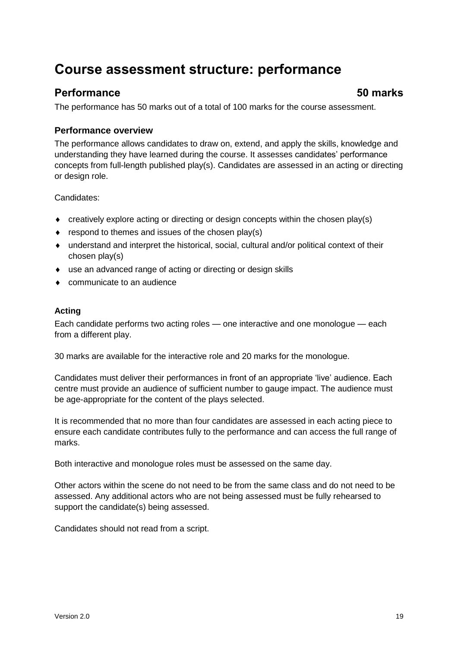# <span id="page-20-0"></span>**Course assessment structure: performance**

### **Performance 50 marks**

The performance has 50 marks out of a total of 100 marks for the course assessment.

#### **Performance overview**

The performance allows candidates to draw on, extend, and apply the skills, knowledge and understanding they have learned during the course. It assesses candidates' performance concepts from full-length published play(s). Candidates are assessed in an acting or directing or design role.

Candidates:

- creatively explore acting or directing or design concepts within the chosen play(s)
- $\bullet$  respond to themes and issues of the chosen play(s)
- understand and interpret the historical, social, cultural and/or political context of their chosen play(s)
- use an advanced range of acting or directing or design skills
- communicate to an audience

#### **Acting**

Each candidate performs two acting roles — one interactive and one monologue — each from a different play.

30 marks are available for the interactive role and 20 marks for the monologue.

Candidates must deliver their performances in front of an appropriate 'live' audience. Each centre must provide an audience of sufficient number to gauge impact. The audience must be age-appropriate for the content of the plays selected.

It is recommended that no more than four candidates are assessed in each acting piece to ensure each candidate contributes fully to the performance and can access the full range of marks.

Both interactive and monologue roles must be assessed on the same day.

Other actors within the scene do not need to be from the same class and do not need to be assessed. Any additional actors who are not being assessed must be fully rehearsed to support the candidate(s) being assessed.

Candidates should not read from a script.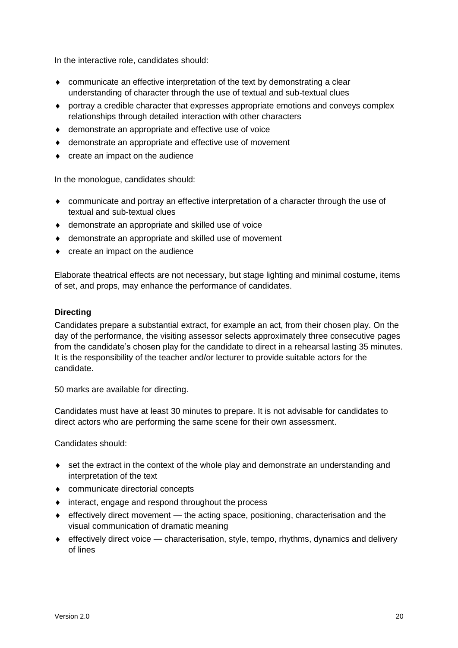In the interactive role, candidates should:

- communicate an effective interpretation of the text by demonstrating a clear understanding of character through the use of textual and sub-textual clues
- portray a credible character that expresses appropriate emotions and conveys complex relationships through detailed interaction with other characters
- demonstrate an appropriate and effective use of voice
- demonstrate an appropriate and effective use of movement
- create an impact on the audience

In the monologue, candidates should:

- communicate and portray an effective interpretation of a character through the use of textual and sub-textual clues
- demonstrate an appropriate and skilled use of voice
- demonstrate an appropriate and skilled use of movement
- create an impact on the audience

Elaborate theatrical effects are not necessary, but stage lighting and minimal costume, items of set, and props, may enhance the performance of candidates.

#### **Directing**

Candidates prepare a substantial extract, for example an act, from their chosen play. On the day of the performance, the visiting assessor selects approximately three consecutive pages from the candidate's chosen play for the candidate to direct in a rehearsal lasting 35 minutes. It is the responsibility of the teacher and/or lecturer to provide suitable actors for the candidate.

50 marks are available for directing.

Candidates must have at least 30 minutes to prepare. It is not advisable for candidates to direct actors who are performing the same scene for their own assessment.

Candidates should:

- set the extract in the context of the whole play and demonstrate an understanding and interpretation of the text
- communicate directorial concepts
- $\bullet$  interact, engage and respond throughout the process
- effectively direct movement the acting space, positioning, characterisation and the visual communication of dramatic meaning
- effectively direct voice characterisation, style, tempo, rhythms, dynamics and delivery of lines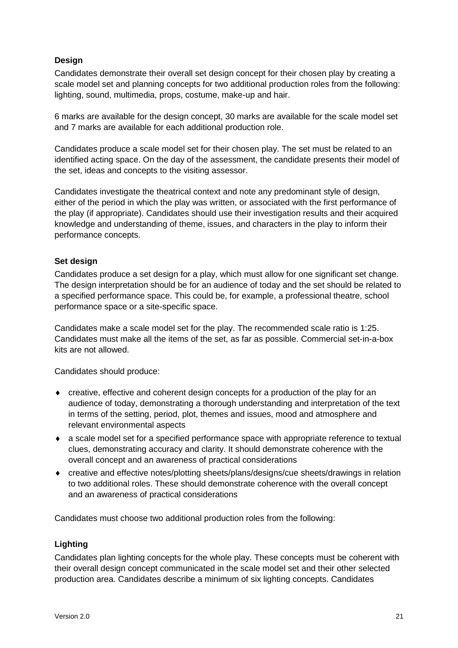#### **Design**

Candidates demonstrate their overall set design concept for their chosen play by creating a scale model set and planning concepts for two additional production roles from the following: lighting, sound, multimedia, props, costume, make-up and hair.

6 marks are available for the design concept, 30 marks are available for the scale model set and 7 marks are available for each additional production role.

Candidates produce a scale model set for their chosen play. The set must be related to an identified acting space. On the day of the assessment, the candidate presents their model of the set, ideas and concepts to the visiting assessor.

Candidates investigate the theatrical context and note any predominant style of design, either of the period in which the play was written, or associated with the first performance of the play (if appropriate). Candidates should use their investigation results and their acquired knowledge and understanding of theme, issues, and characters in the play to inform their performance concepts.

#### **Set design**

Candidates produce a set design for a play, which must allow for one significant set change. The design interpretation should be for an audience of today and the set should be related to a specified performance space. This could be, for example, a professional theatre, school performance space or a site-specific space.

Candidates make a scale model set for the play. The recommended scale ratio is 1:25. Candidates must make all the items of the set, as far as possible. Commercial set-in-a-box kits are not allowed.

Candidates should produce:

- creative, effective and coherent design concepts for a production of the play for an audience of today, demonstrating a thorough understanding and interpretation of the text in terms of the setting, period, plot, themes and issues, mood and atmosphere and relevant environmental aspects
- a scale model set for a specified performance space with appropriate reference to textual clues, demonstrating accuracy and clarity. It should demonstrate coherence with the overall concept and an awareness of practical considerations
- creative and effective notes/plotting sheets/plans/designs/cue sheets/drawings in relation to two additional roles. These should demonstrate coherence with the overall concept and an awareness of practical considerations

Candidates must choose two additional production roles from the following:

#### **Lighting**

Candidates plan lighting concepts for the whole play. These concepts must be coherent with their overall design concept communicated in the scale model set and their other selected production area. Candidates describe a minimum of six lighting concepts. Candidates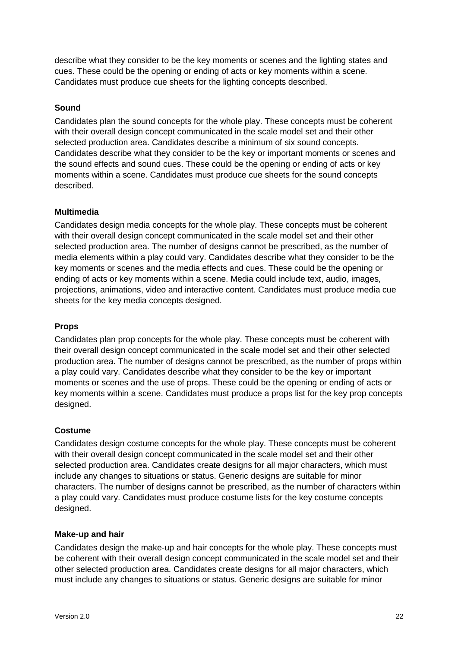describe what they consider to be the key moments or scenes and the lighting states and cues. These could be the opening or ending of acts or key moments within a scene. Candidates must produce cue sheets for the lighting concepts described.

#### **Sound**

Candidates plan the sound concepts for the whole play. These concepts must be coherent with their overall design concept communicated in the scale model set and their other selected production area. Candidates describe a minimum of six sound concepts. Candidates describe what they consider to be the key or important moments or scenes and the sound effects and sound cues. These could be the opening or ending of acts or key moments within a scene. Candidates must produce cue sheets for the sound concepts described.

#### **Multimedia**

Candidates design media concepts for the whole play. These concepts must be coherent with their overall design concept communicated in the scale model set and their other selected production area. The number of designs cannot be prescribed, as the number of media elements within a play could vary. Candidates describe what they consider to be the key moments or scenes and the media effects and cues. These could be the opening or ending of acts or key moments within a scene. Media could include text, audio, images, projections, animations, video and interactive content. Candidates must produce media cue sheets for the key media concepts designed.

#### **Props**

Candidates plan prop concepts for the whole play. These concepts must be coherent with their overall design concept communicated in the scale model set and their other selected production area. The number of designs cannot be prescribed, as the number of props within a play could vary. Candidates describe what they consider to be the key or important moments or scenes and the use of props. These could be the opening or ending of acts or key moments within a scene. Candidates must produce a props list for the key prop concepts designed.

#### **Costume**

Candidates design costume concepts for the whole play. These concepts must be coherent with their overall design concept communicated in the scale model set and their other selected production area. Candidates create designs for all major characters, which must include any changes to situations or status. Generic designs are suitable for minor characters. The number of designs cannot be prescribed, as the number of characters within a play could vary. Candidates must produce costume lists for the key costume concepts designed.

#### **Make-up and hair**

Candidates design the make-up and hair concepts for the whole play. These concepts must be coherent with their overall design concept communicated in the scale model set and their other selected production area. Candidates create designs for all major characters, which must include any changes to situations or status. Generic designs are suitable for minor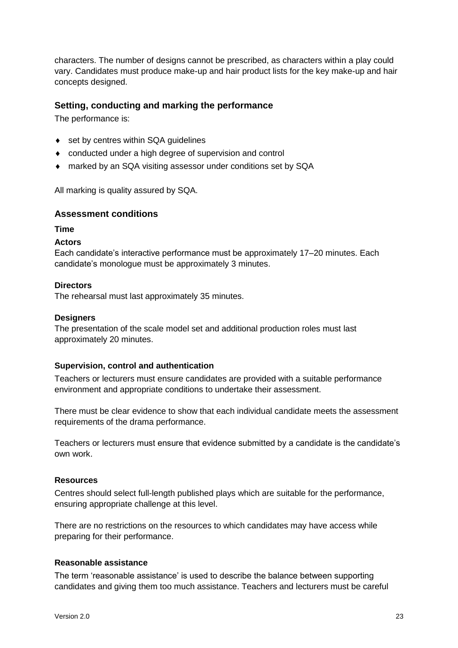characters. The number of designs cannot be prescribed, as characters within a play could vary. Candidates must produce make-up and hair product lists for the key make-up and hair concepts designed.

#### **Setting, conducting and marking the performance**

The performance is:

- ◆ set by centres within SQA guidelines
- conducted under a high degree of supervision and control
- marked by an SQA visiting assessor under conditions set by SQA

All marking is quality assured by SQA.

#### **Assessment conditions**

#### **Time**

#### **Actors**

Each candidate's interactive performance must be approximately 17–20 minutes. Each candidate's monologue must be approximately 3 minutes.

#### **Directors**

The rehearsal must last approximately 35 minutes.

#### **Designers**

The presentation of the scale model set and additional production roles must last approximately 20 minutes.

#### **Supervision, control and authentication**

Teachers or lecturers must ensure candidates are provided with a suitable performance environment and appropriate conditions to undertake their assessment.

There must be clear evidence to show that each individual candidate meets the assessment requirements of the drama performance.

Teachers or lecturers must ensure that evidence submitted by a candidate is the candidate's own work.

#### **Resources**

Centres should select full-length published plays which are suitable for the performance, ensuring appropriate challenge at this level.

There are no restrictions on the resources to which candidates may have access while preparing for their performance.

#### **Reasonable assistance**

The term 'reasonable assistance' is used to describe the balance between supporting candidates and giving them too much assistance. Teachers and lecturers must be careful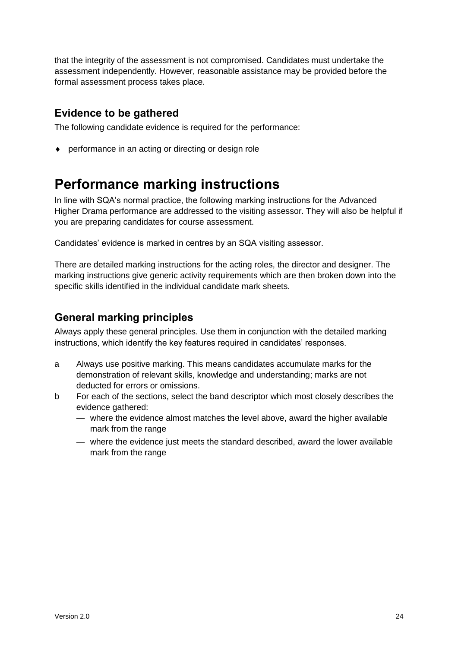that the integrity of the assessment is not compromised. Candidates must undertake the assessment independently. However, reasonable assistance may be provided before the formal assessment process takes place.

### **Evidence to be gathered**

The following candidate evidence is required for the performance:

performance in an acting or directing or design role

# <span id="page-25-0"></span>**Performance marking instructions**

In line with SQA's normal practice, the following marking instructions for the Advanced Higher Drama performance are addressed to the visiting assessor. They will also be helpful if you are preparing candidates for course assessment.

Candidates' evidence is marked in centres by an SQA visiting assessor.

There are detailed marking instructions for the acting roles, the director and designer. The marking instructions give generic activity requirements which are then broken down into the specific skills identified in the individual candidate mark sheets.

### **General marking principles**

Always apply these general principles. Use them in conjunction with the detailed marking instructions, which identify the key features required in candidates' responses.

- a Always use positive marking. This means candidates accumulate marks for the demonstration of relevant skills, knowledge and understanding; marks are not deducted for errors or omissions.
- b For each of the sections, select the band descriptor which most closely describes the evidence gathered:
	- where the evidence almost matches the level above, award the higher available mark from the range
	- where the evidence just meets the standard described, award the lower available mark from the range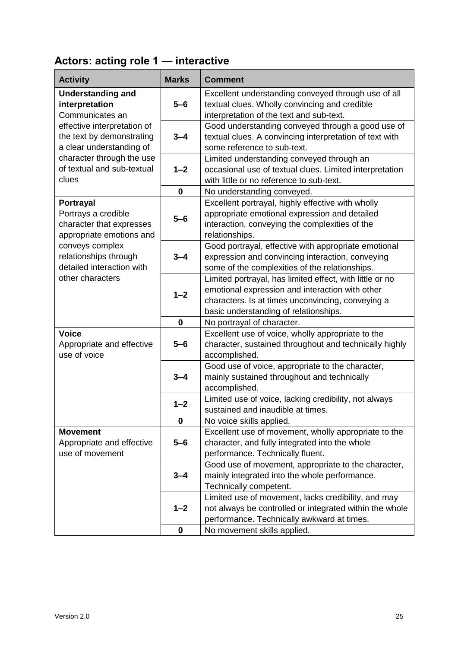## **Actors: acting role 1 — interactive**

| <b>Activity</b>                                                                                 | <b>Marks</b> | <b>Comment</b>                                                                                                                                                                                            |
|-------------------------------------------------------------------------------------------------|--------------|-----------------------------------------------------------------------------------------------------------------------------------------------------------------------------------------------------------|
| <b>Understanding and</b><br>interpretation<br>Communicates an                                   | $5-6$        | Excellent understanding conveyed through use of all<br>textual clues. Wholly convincing and credible<br>interpretation of the text and sub-text.                                                          |
| effective interpretation of<br>the text by demonstrating<br>a clear understanding of            | $3 - 4$      | Good understanding conveyed through a good use of<br>textual clues. A convincing interpretation of text with<br>some reference to sub-text.                                                               |
| character through the use<br>of textual and sub-textual<br>clues                                | $1 - 2$      | Limited understanding conveyed through an<br>occasional use of textual clues. Limited interpretation<br>with little or no reference to sub-text.                                                          |
|                                                                                                 | $\mathbf 0$  | No understanding conveyed.                                                                                                                                                                                |
| <b>Portrayal</b><br>Portrays a credible<br>character that expresses<br>appropriate emotions and | $5-6$        | Excellent portrayal, highly effective with wholly<br>appropriate emotional expression and detailed<br>interaction, conveying the complexities of the<br>relationships.                                    |
| conveys complex<br>relationships through<br>detailed interaction with                           | $3 - 4$      | Good portrayal, effective with appropriate emotional<br>expression and convincing interaction, conveying<br>some of the complexities of the relationships.                                                |
| other characters                                                                                | $1 - 2$      | Limited portrayal, has limited effect, with little or no<br>emotional expression and interaction with other<br>characters. Is at times unconvincing, conveying a<br>basic understanding of relationships. |
|                                                                                                 | $\mathbf 0$  | No portrayal of character.                                                                                                                                                                                |
| <b>Voice</b><br>Appropriate and effective<br>use of voice                                       | $5-6$        | Excellent use of voice, wholly appropriate to the<br>character, sustained throughout and technically highly<br>accomplished.                                                                              |
|                                                                                                 | $3 - 4$      | Good use of voice, appropriate to the character,<br>mainly sustained throughout and technically<br>accomplished.                                                                                          |
|                                                                                                 | $1 - 2$      | Limited use of voice, lacking credibility, not always<br>sustained and inaudible at times.                                                                                                                |
|                                                                                                 | $\mathbf 0$  | No voice skills applied.                                                                                                                                                                                  |
| <b>Movement</b><br>Appropriate and effective<br>use of movement                                 | $5 - 6$      | Excellent use of movement, wholly appropriate to the<br>character, and fully integrated into the whole<br>performance. Technically fluent.                                                                |
|                                                                                                 | $3 - 4$      | Good use of movement, appropriate to the character,<br>mainly integrated into the whole performance.<br>Technically competent.                                                                            |
|                                                                                                 | $1 - 2$      | Limited use of movement, lacks credibility, and may<br>not always be controlled or integrated within the whole<br>performance. Technically awkward at times.                                              |
|                                                                                                 | $\mathbf 0$  | No movement skills applied.                                                                                                                                                                               |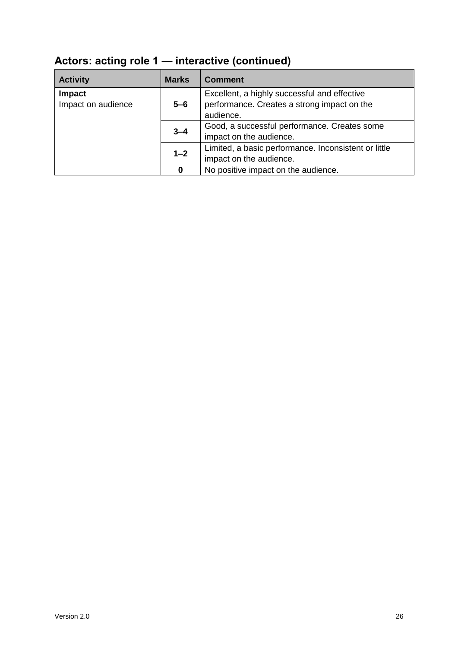| <b>Activity</b>    | <b>Marks</b> | <b>Comment</b>                                                                              |
|--------------------|--------------|---------------------------------------------------------------------------------------------|
| Impact             | $5 - 6$      | Excellent, a highly successful and effective<br>performance. Creates a strong impact on the |
| Impact on audience |              | audience.                                                                                   |
|                    | $3 - 4$      | Good, a successful performance. Creates some                                                |
|                    |              | impact on the audience.                                                                     |
|                    | $1 - 2$      | Limited, a basic performance. Inconsistent or little                                        |
|                    |              | impact on the audience.                                                                     |
|                    | 0            | No positive impact on the audience.                                                         |

# **Actors: acting role 1 — interactive (continued)**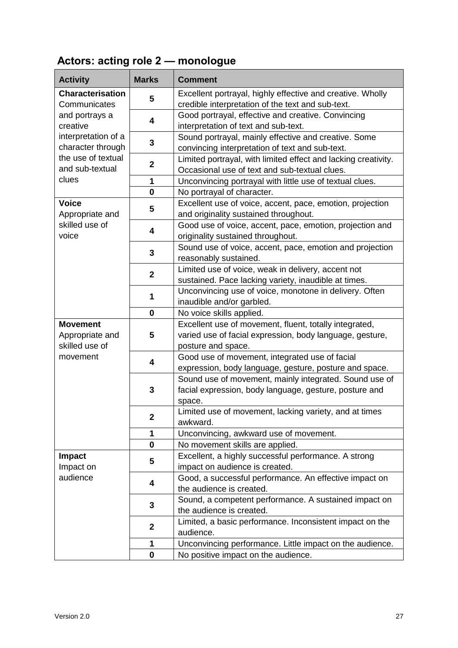# **Actors: acting role 2 — monologue**

| <b>Activity</b>                          | <b>Marks</b>     | <b>Comment</b>                                                                                                             |
|------------------------------------------|------------------|----------------------------------------------------------------------------------------------------------------------------|
| <b>Characterisation</b><br>Communicates  | 5                | Excellent portrayal, highly effective and creative. Wholly<br>credible interpretation of the text and sub-text.            |
| and portrays a<br>creative               | 4                | Good portrayal, effective and creative. Convincing<br>interpretation of text and sub-text.                                 |
| interpretation of a<br>character through | 3                | Sound portrayal, mainly effective and creative. Some<br>convincing interpretation of text and sub-text.                    |
| the use of textual<br>and sub-textual    | $\mathbf{2}$     | Limited portrayal, with limited effect and lacking creativity.<br>Occasional use of text and sub-textual clues.            |
| clues                                    | 1                | Unconvincing portrayal with little use of textual clues.                                                                   |
|                                          | $\mathbf 0$      | No portrayal of character.                                                                                                 |
| <b>Voice</b><br>Appropriate and          | 5                | Excellent use of voice, accent, pace, emotion, projection<br>and originality sustained throughout.                         |
| skilled use of<br>voice                  | 4                | Good use of voice, accent, pace, emotion, projection and<br>originality sustained throughout.                              |
|                                          | 3                | Sound use of voice, accent, pace, emotion and projection<br>reasonably sustained.                                          |
|                                          | $\mathbf{2}$     | Limited use of voice, weak in delivery, accent not<br>sustained. Pace lacking variety, inaudible at times.                 |
|                                          | 1                | Unconvincing use of voice, monotone in delivery. Often<br>inaudible and/or garbled.                                        |
|                                          | $\mathbf 0$      | No voice skills applied.                                                                                                   |
| <b>Movement</b>                          |                  | Excellent use of movement, fluent, totally integrated,                                                                     |
| Appropriate and                          | 5                | varied use of facial expression, body language, gesture,                                                                   |
| skilled use of                           |                  | posture and space.                                                                                                         |
| movement                                 | 4                | Good use of movement, integrated use of facial<br>expression, body language, gesture, posture and space.                   |
|                                          | 3                | Sound use of movement, mainly integrated. Sound use of<br>facial expression, body language, gesture, posture and<br>space. |
|                                          | $\boldsymbol{2}$ | Limited use of movement, lacking variety, and at times<br>awkward.                                                         |
|                                          | 1                | Unconvincing, awkward use of movement.                                                                                     |
|                                          | $\mathbf 0$      | No movement skills are applied.                                                                                            |
| <b>Impact</b>                            | 5                | Excellent, a highly successful performance. A strong                                                                       |
| Impact on                                |                  | impact on audience is created.                                                                                             |
| audience                                 | 4                | Good, a successful performance. An effective impact on                                                                     |
|                                          |                  | the audience is created.                                                                                                   |
|                                          | 3                | Sound, a competent performance. A sustained impact on                                                                      |
|                                          |                  | the audience is created.                                                                                                   |
|                                          | $\mathbf{2}$     | Limited, a basic performance. Inconsistent impact on the<br>audience.                                                      |
|                                          | 1                | Unconvincing performance. Little impact on the audience.                                                                   |
|                                          | 0                | No positive impact on the audience.                                                                                        |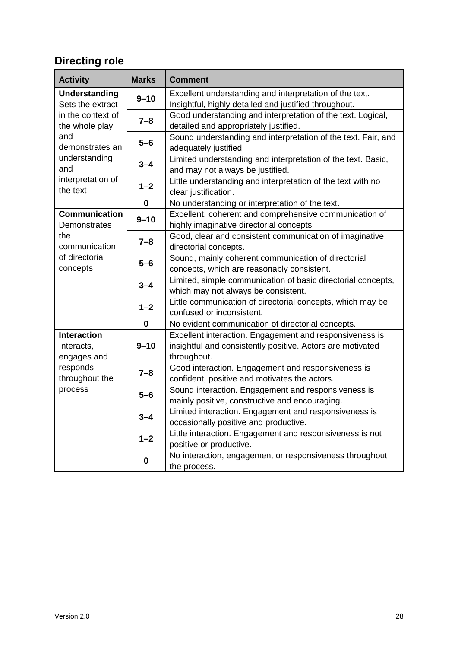## **Directing role**

| <b>Activity</b>                                                                          | <b>Marks</b> | <b>Comment</b>                                                                                                                       |  |  |
|------------------------------------------------------------------------------------------|--------------|--------------------------------------------------------------------------------------------------------------------------------------|--|--|
| <b>Understanding</b>                                                                     | $9 - 10$     | Excellent understanding and interpretation of the text.                                                                              |  |  |
| Sets the extract<br>in the context of                                                    |              | Insightful, highly detailed and justified throughout.<br>Good understanding and interpretation of the text. Logical,                 |  |  |
| the whole play                                                                           | $7 - 8$      | detailed and appropriately justified.                                                                                                |  |  |
| and<br>demonstrates an                                                                   | $5-6$        | Sound understanding and interpretation of the text. Fair, and<br>adequately justified.                                               |  |  |
| understanding<br>and                                                                     | $3 - 4$      | Limited understanding and interpretation of the text. Basic,<br>and may not always be justified.                                     |  |  |
| interpretation of<br>the text                                                            | $1 - 2$      | Little understanding and interpretation of the text with no<br>clear justification.                                                  |  |  |
|                                                                                          | $\bf{0}$     | No understanding or interpretation of the text.                                                                                      |  |  |
| <b>Communication</b><br>Demonstrates                                                     | $9 - 10$     | Excellent, coherent and comprehensive communication of<br>highly imaginative directorial concepts.                                   |  |  |
| the<br>communication                                                                     | $7 - 8$      | Good, clear and consistent communication of imaginative<br>directorial concepts.                                                     |  |  |
| of directorial<br>concepts                                                               | $5-6$        | Sound, mainly coherent communication of directorial<br>concepts, which are reasonably consistent.                                    |  |  |
|                                                                                          | $3 - 4$      | Limited, simple communication of basic directorial concepts,<br>which may not always be consistent.                                  |  |  |
|                                                                                          | $1 - 2$      | Little communication of directorial concepts, which may be<br>confused or inconsistent.                                              |  |  |
|                                                                                          | 0            | No evident communication of directorial concepts.                                                                                    |  |  |
| <b>Interaction</b><br>Interacts,<br>engages and<br>responds<br>throughout the<br>process | $9 - 10$     | Excellent interaction. Engagement and responsiveness is<br>insightful and consistently positive. Actors are motivated<br>throughout. |  |  |
|                                                                                          | $7 - 8$      | Good interaction. Engagement and responsiveness is<br>confident, positive and motivates the actors.                                  |  |  |
|                                                                                          | $5-6$        | Sound interaction. Engagement and responsiveness is<br>mainly positive, constructive and encouraging.                                |  |  |
|                                                                                          | $3 - 4$      | Limited interaction. Engagement and responsiveness is<br>occasionally positive and productive.                                       |  |  |
|                                                                                          | $1 - 2$      | Little interaction. Engagement and responsiveness is not<br>positive or productive.                                                  |  |  |
|                                                                                          | 0            | No interaction, engagement or responsiveness throughout<br>the process.                                                              |  |  |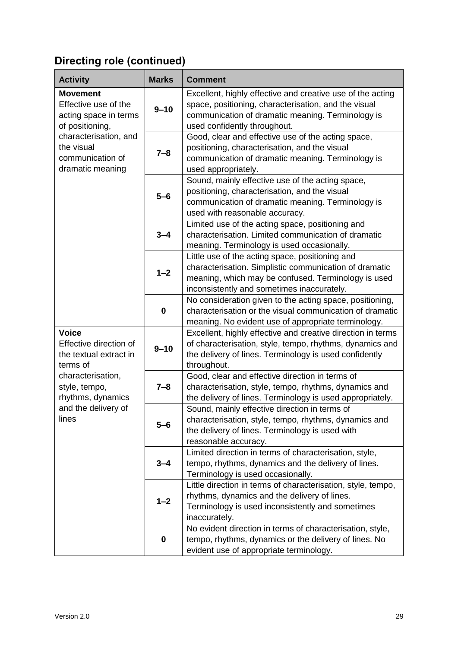## **Directing role (continued)**

| <b>Activity</b>                                                                     | <b>Marks</b> | <b>Comment</b>                                                                                                                                                                                                 |  |
|-------------------------------------------------------------------------------------|--------------|----------------------------------------------------------------------------------------------------------------------------------------------------------------------------------------------------------------|--|
| <b>Movement</b><br>Effective use of the<br>acting space in terms<br>of positioning, | $9 - 10$     | Excellent, highly effective and creative use of the acting<br>space, positioning, characterisation, and the visual<br>communication of dramatic meaning. Terminology is<br>used confidently throughout.        |  |
| characterisation, and<br>the visual<br>communication of<br>dramatic meaning         | $7 - 8$      | Good, clear and effective use of the acting space,<br>positioning, characterisation, and the visual<br>communication of dramatic meaning. Terminology is<br>used appropriately.                                |  |
|                                                                                     | $5-6$        | Sound, mainly effective use of the acting space,<br>positioning, characterisation, and the visual<br>communication of dramatic meaning. Terminology is<br>used with reasonable accuracy.                       |  |
|                                                                                     | $3 - 4$      | Limited use of the acting space, positioning and<br>characterisation. Limited communication of dramatic<br>meaning. Terminology is used occasionally.                                                          |  |
|                                                                                     | $1 - 2$      | Little use of the acting space, positioning and<br>characterisation. Simplistic communication of dramatic<br>meaning, which may be confused. Terminology is used<br>inconsistently and sometimes inaccurately. |  |
|                                                                                     | $\bf{0}$     | No consideration given to the acting space, positioning,<br>characterisation or the visual communication of dramatic<br>meaning. No evident use of appropriate terminology.                                    |  |
| <b>Voice</b><br>Effective direction of<br>the textual extract in<br>terms of        | $9 - 10$     | Excellent, highly effective and creative direction in terms<br>of characterisation, style, tempo, rhythms, dynamics and<br>the delivery of lines. Terminology is used confidently<br>throughout.               |  |
| characterisation,<br>style, tempo,<br>rhythms, dynamics                             | $7 - 8$      | Good, clear and effective direction in terms of<br>characterisation, style, tempo, rhythms, dynamics and<br>the delivery of lines. Terminology is used appropriately.                                          |  |
| and the delivery of<br>lines                                                        | $5 - 6$      | Sound, mainly effective direction in terms of<br>characterisation, style, tempo, rhythms, dynamics and<br>the delivery of lines. Terminology is used with<br>reasonable accuracy.                              |  |
|                                                                                     | $3 - 4$      | Limited direction in terms of characterisation, style,<br>tempo, rhythms, dynamics and the delivery of lines.<br>Terminology is used occasionally.                                                             |  |
|                                                                                     | $1 - 2$      | Little direction in terms of characterisation, style, tempo,<br>rhythms, dynamics and the delivery of lines.<br>Terminology is used inconsistently and sometimes<br>inaccurately.                              |  |
|                                                                                     | $\bf{0}$     | No evident direction in terms of characterisation, style,<br>tempo, rhythms, dynamics or the delivery of lines. No<br>evident use of appropriate terminology.                                                  |  |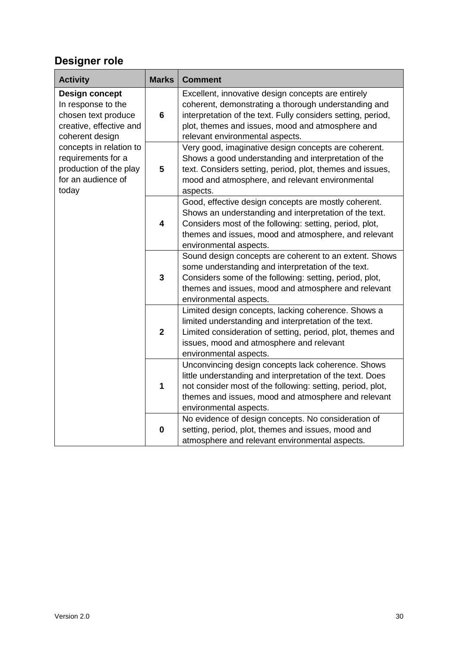## **Designer role**

| <b>Activity</b>                                                                                                  | <b>Marks</b>            | <b>Comment</b>                                                                                                                                                                                                                                                    |  |  |
|------------------------------------------------------------------------------------------------------------------|-------------------------|-------------------------------------------------------------------------------------------------------------------------------------------------------------------------------------------------------------------------------------------------------------------|--|--|
| <b>Design concept</b><br>In response to the<br>chosen text produce<br>creative, effective and<br>coherent design | $6\phantom{1}6$         | Excellent, innovative design concepts are entirely<br>coherent, demonstrating a thorough understanding and<br>interpretation of the text. Fully considers setting, period,<br>plot, themes and issues, mood and atmosphere and<br>relevant environmental aspects. |  |  |
| concepts in relation to<br>requirements for a<br>production of the play<br>for an audience of<br>today           | 5                       | Very good, imaginative design concepts are coherent.<br>Shows a good understanding and interpretation of the<br>text. Considers setting, period, plot, themes and issues,<br>mood and atmosphere, and relevant environmental<br>aspects.                          |  |  |
|                                                                                                                  | $\overline{\mathbf{4}}$ | Good, effective design concepts are mostly coherent.<br>Shows an understanding and interpretation of the text.<br>Considers most of the following: setting, period, plot,<br>themes and issues, mood and atmosphere, and relevant<br>environmental aspects.       |  |  |
|                                                                                                                  | $\mathbf{3}$            | Sound design concepts are coherent to an extent. Shows<br>some understanding and interpretation of the text.<br>Considers some of the following: setting, period, plot,<br>themes and issues, mood and atmosphere and relevant<br>environmental aspects.          |  |  |
|                                                                                                                  | $\overline{2}$          | Limited design concepts, lacking coherence. Shows a<br>limited understanding and interpretation of the text.<br>Limited consideration of setting, period, plot, themes and<br>issues, mood and atmosphere and relevant<br>environmental aspects.                  |  |  |
|                                                                                                                  | 1                       | Unconvincing design concepts lack coherence. Shows<br>little understanding and interpretation of the text. Does<br>not consider most of the following: setting, period, plot,<br>themes and issues, mood and atmosphere and relevant<br>environmental aspects.    |  |  |
|                                                                                                                  | 0                       | No evidence of design concepts. No consideration of<br>setting, period, plot, themes and issues, mood and<br>atmosphere and relevant environmental aspects.                                                                                                       |  |  |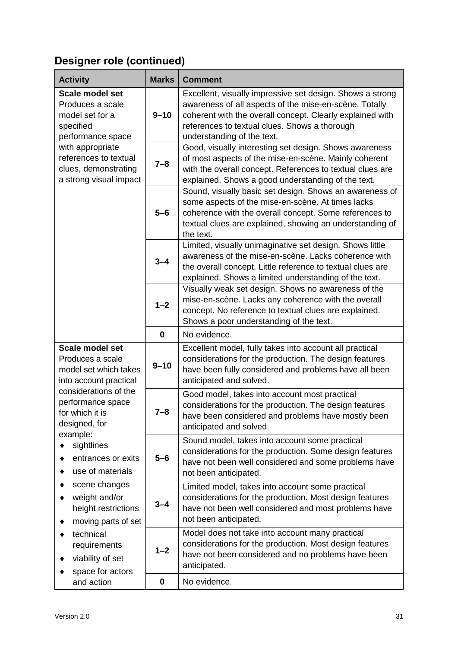| <b>Activity</b><br><b>Marks</b><br><b>Comment</b>                                                                                                                                                                                                                                                                                      |             |                                                                                                                                                                                                                                                                 |
|----------------------------------------------------------------------------------------------------------------------------------------------------------------------------------------------------------------------------------------------------------------------------------------------------------------------------------------|-------------|-----------------------------------------------------------------------------------------------------------------------------------------------------------------------------------------------------------------------------------------------------------------|
| <b>Scale model set</b><br>Produces a scale<br>model set for a<br>specified<br>performance space                                                                                                                                                                                                                                        | $9 - 10$    | Excellent, visually impressive set design. Shows a strong<br>awareness of all aspects of the mise-en-scène. Totally<br>coherent with the overall concept. Clearly explained with<br>references to textual clues. Shows a thorough<br>understanding of the text. |
| with appropriate<br>references to textual<br>clues, demonstrating<br>a strong visual impact                                                                                                                                                                                                                                            | $7 - 8$     | Good, visually interesting set design. Shows awareness<br>of most aspects of the mise-en-scène. Mainly coherent<br>with the overall concept. References to textual clues are<br>explained. Shows a good understanding of the text.                              |
|                                                                                                                                                                                                                                                                                                                                        | $5 - 6$     | Sound, visually basic set design. Shows an awareness of<br>some aspects of the mise-en-scène. At times lacks<br>coherence with the overall concept. Some references to<br>textual clues are explained, showing an understanding of<br>the text.                 |
|                                                                                                                                                                                                                                                                                                                                        | $3 - 4$     | Limited, visually unimaginative set design. Shows little<br>awareness of the mise-en-scène. Lacks coherence with<br>the overall concept. Little reference to textual clues are<br>explained. Shows a limited understanding of the text.                         |
|                                                                                                                                                                                                                                                                                                                                        | $1 - 2$     | Visually weak set design. Shows no awareness of the<br>mise-en-scène. Lacks any coherence with the overall<br>concept. No reference to textual clues are explained.<br>Shows a poor understanding of the text.                                                  |
|                                                                                                                                                                                                                                                                                                                                        | $\bf{0}$    | No evidence.                                                                                                                                                                                                                                                    |
| Scale model set<br>Produces a scale<br>model set which takes<br>into account practical<br>considerations of the<br>performance space<br>for which it is<br>designed, for<br>example:<br>sightlines<br>entrances or exits<br>use of materials<br>scene changes<br>weight and/or<br>٠<br>height restrictions<br>moving parts of set<br>٠ | $9 - 10$    | Excellent model, fully takes into account all practical<br>considerations for the production. The design features<br>have been fully considered and problems have all been<br>anticipated and solved.                                                           |
|                                                                                                                                                                                                                                                                                                                                        | 7–8         | Good model, takes into account most practical<br>considerations for the production. The design features<br>have been considered and problems have mostly been<br>anticipated and solved.                                                                        |
|                                                                                                                                                                                                                                                                                                                                        | $5 - 6$     | Sound model, takes into account some practical<br>considerations for the production. Some design features<br>have not been well considered and some problems have<br>not been anticipated.                                                                      |
|                                                                                                                                                                                                                                                                                                                                        | $3 - 4$     | Limited model, takes into account some practical<br>considerations for the production. Most design features<br>have not been well considered and most problems have<br>not been anticipated.                                                                    |
| technical<br>٠<br>requirements<br>viability of set<br>space for actors                                                                                                                                                                                                                                                                 | $1 - 2$     | Model does not take into account many practical<br>considerations for the production. Most design features<br>have not been considered and no problems have been<br>anticipated.                                                                                |
| and action                                                                                                                                                                                                                                                                                                                             | $\mathbf 0$ | No evidence.                                                                                                                                                                                                                                                    |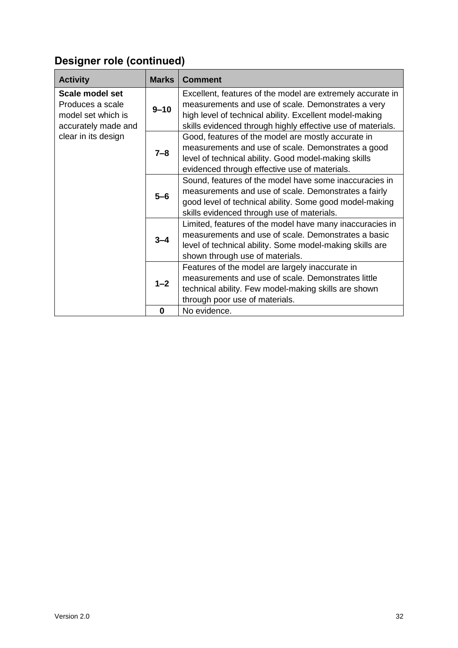| <b>Activity</b>                                                                  | <b>Marks</b> | <b>Comment</b>                                                                                                                                                                                                                             |  |  |
|----------------------------------------------------------------------------------|--------------|--------------------------------------------------------------------------------------------------------------------------------------------------------------------------------------------------------------------------------------------|--|--|
| Scale model set<br>Produces a scale<br>model set which is<br>accurately made and | $9 - 10$     | Excellent, features of the model are extremely accurate in<br>measurements and use of scale. Demonstrates a very<br>high level of technical ability. Excellent model-making<br>skills evidenced through highly effective use of materials. |  |  |
| clear in its design                                                              | $7 - 8$      | Good, features of the model are mostly accurate in<br>measurements and use of scale. Demonstrates a good<br>level of technical ability. Good model-making skills<br>evidenced through effective use of materials.                          |  |  |
|                                                                                  | $5-6$        | Sound, features of the model have some inaccuracies in<br>measurements and use of scale. Demonstrates a fairly<br>good level of technical ability. Some good model-making<br>skills evidenced through use of materials.                    |  |  |
|                                                                                  | $3 - 4$      | Limited, features of the model have many inaccuracies in<br>measurements and use of scale. Demonstrates a basic<br>level of technical ability. Some model-making skills are<br>shown through use of materials.                             |  |  |
|                                                                                  | $1 - 2$      | Features of the model are largely inaccurate in<br>measurements and use of scale. Demonstrates little<br>technical ability. Few model-making skills are shown<br>through poor use of materials.                                            |  |  |
|                                                                                  | $\bf{0}$     | No evidence.                                                                                                                                                                                                                               |  |  |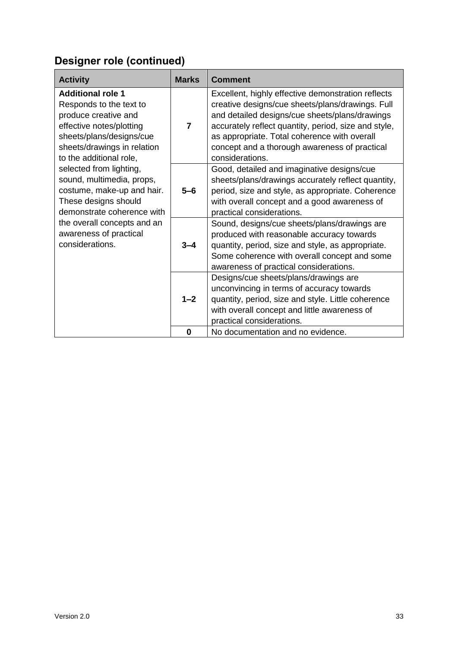| <b>Activity</b>                                                                                                                                                                                                                                                                                                                                                                                                       | <b>Marks</b>   | <b>Comment</b>                                                                                                                                                                                                                                                                                                                       |
|-----------------------------------------------------------------------------------------------------------------------------------------------------------------------------------------------------------------------------------------------------------------------------------------------------------------------------------------------------------------------------------------------------------------------|----------------|--------------------------------------------------------------------------------------------------------------------------------------------------------------------------------------------------------------------------------------------------------------------------------------------------------------------------------------|
| <b>Additional role 1</b><br>Responds to the text to<br>produce creative and<br>effective notes/plotting<br>sheets/plans/designs/cue<br>sheets/drawings in relation<br>to the additional role,<br>selected from lighting,<br>sound, multimedia, props,<br>costume, make-up and hair.<br>These designs should<br>demonstrate coherence with<br>the overall concepts and an<br>awareness of practical<br>considerations. | $\overline{7}$ | Excellent, highly effective demonstration reflects<br>creative designs/cue sheets/plans/drawings. Full<br>and detailed designs/cue sheets/plans/drawings<br>accurately reflect quantity, period, size and style,<br>as appropriate. Total coherence with overall<br>concept and a thorough awareness of practical<br>considerations. |
|                                                                                                                                                                                                                                                                                                                                                                                                                       | $5-6$          | Good, detailed and imaginative designs/cue<br>sheets/plans/drawings accurately reflect quantity,<br>period, size and style, as appropriate. Coherence<br>with overall concept and a good awareness of<br>practical considerations.                                                                                                   |
|                                                                                                                                                                                                                                                                                                                                                                                                                       | $3 - 4$        | Sound, designs/cue sheets/plans/drawings are<br>produced with reasonable accuracy towards<br>quantity, period, size and style, as appropriate.<br>Some coherence with overall concept and some<br>awareness of practical considerations.                                                                                             |
|                                                                                                                                                                                                                                                                                                                                                                                                                       | $1 - 2$        | Designs/cue sheets/plans/drawings are<br>unconvincing in terms of accuracy towards<br>quantity, period, size and style. Little coherence<br>with overall concept and little awareness of<br>practical considerations.                                                                                                                |
|                                                                                                                                                                                                                                                                                                                                                                                                                       | $\bf{0}$       | No documentation and no evidence.                                                                                                                                                                                                                                                                                                    |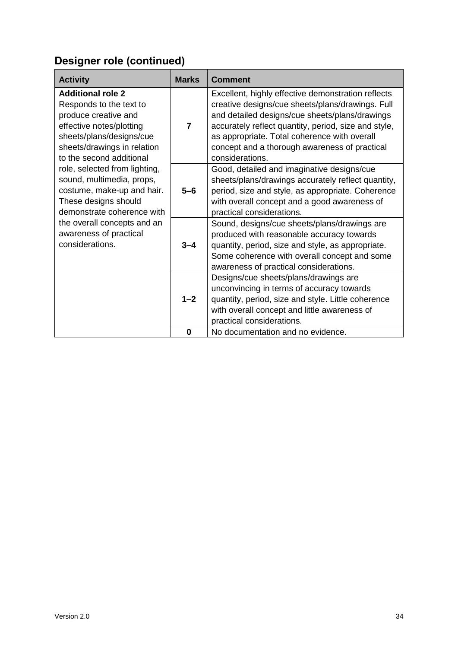| <b>Activity</b>                                                                                                                                                                                                                                                                                                                                                                                                              | <b>Marks</b>   | <b>Comment</b>                                                                                                                                                                                                                                                                                                                       |
|------------------------------------------------------------------------------------------------------------------------------------------------------------------------------------------------------------------------------------------------------------------------------------------------------------------------------------------------------------------------------------------------------------------------------|----------------|--------------------------------------------------------------------------------------------------------------------------------------------------------------------------------------------------------------------------------------------------------------------------------------------------------------------------------------|
| <b>Additional role 2</b><br>Responds to the text to<br>produce creative and<br>effective notes/plotting<br>sheets/plans/designs/cue<br>sheets/drawings in relation<br>to the second additional<br>role, selected from lighting,<br>sound, multimedia, props,<br>costume, make-up and hair.<br>These designs should<br>demonstrate coherence with<br>the overall concepts and an<br>awareness of practical<br>considerations. | $\overline{7}$ | Excellent, highly effective demonstration reflects<br>creative designs/cue sheets/plans/drawings. Full<br>and detailed designs/cue sheets/plans/drawings<br>accurately reflect quantity, period, size and style,<br>as appropriate. Total coherence with overall<br>concept and a thorough awareness of practical<br>considerations. |
|                                                                                                                                                                                                                                                                                                                                                                                                                              | $5-6$          | Good, detailed and imaginative designs/cue<br>sheets/plans/drawings accurately reflect quantity,<br>period, size and style, as appropriate. Coherence<br>with overall concept and a good awareness of<br>practical considerations.                                                                                                   |
|                                                                                                                                                                                                                                                                                                                                                                                                                              | $3 - 4$        | Sound, designs/cue sheets/plans/drawings are<br>produced with reasonable accuracy towards<br>quantity, period, size and style, as appropriate.<br>Some coherence with overall concept and some<br>awareness of practical considerations.                                                                                             |
|                                                                                                                                                                                                                                                                                                                                                                                                                              | $1 - 2$        | Designs/cue sheets/plans/drawings are<br>unconvincing in terms of accuracy towards<br>quantity, period, size and style. Little coherence<br>with overall concept and little awareness of<br>practical considerations.                                                                                                                |
|                                                                                                                                                                                                                                                                                                                                                                                                                              | $\bf{0}$       | No documentation and no evidence.                                                                                                                                                                                                                                                                                                    |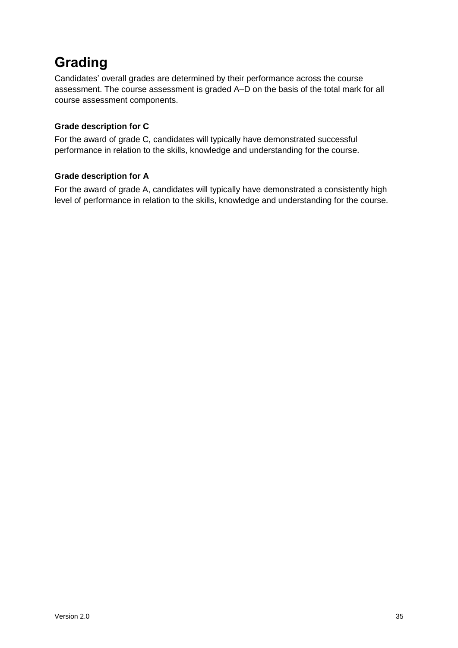# <span id="page-36-0"></span>**Grading**

Candidates' overall grades are determined by their performance across the course assessment. The course assessment is graded A–D on the basis of the total mark for all course assessment components.

#### **Grade description for C**

For the award of grade C, candidates will typically have demonstrated successful performance in relation to the skills, knowledge and understanding for the course.

#### **Grade description for A**

For the award of grade A, candidates will typically have demonstrated a consistently high level of performance in relation to the skills, knowledge and understanding for the course.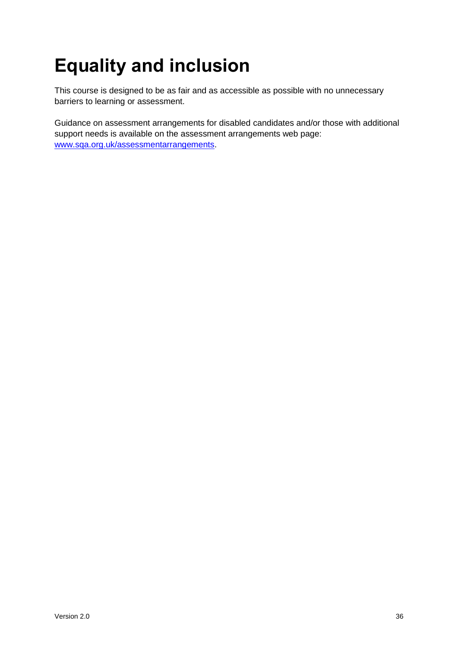# <span id="page-37-0"></span>**Equality and inclusion**

This course is designed to be as fair and as accessible as possible with no unnecessary barriers to learning or assessment.

Guidance on assessment arrangements for disabled candidates and/or those with additional support needs is available on the assessment arrangements web page: [www.sqa.org.uk/assessmentarrangements.](http://www.sqa.org.uk/assessmentarrangements)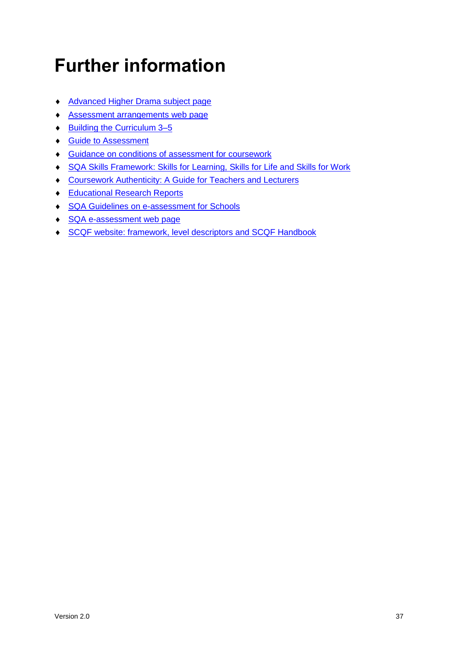# <span id="page-38-0"></span>**Further information**

- ◆ [Advanced Higher Drama subject page](https://www.sqa.org.uk/sqa/48449.html)
- [Assessment arrangements web page](http://www.sqa.org.uk/assessmentarrangements)
- ◆ Building the Curriculum 3-5
- ◆ [Guide to Assessment](http://www.sqa.org.uk/sqa/2424.html)
- **Guidance on conditions of [assessment for coursework](http://www.sqa.org.uk/sqa/files_ccc/Guidance_on_conditions_of_assessment_for_coursework.pdf)**
- [SQA Skills Framework: Skills for Learning, Skills for Life and Skills for Work](http://www.sqa.org.uk/sqa/63101.html)
- [Coursework Authenticity: A Guide for Teachers and Lecturers](http://www.sqa.org.uk/sqa/1418.html)
- ◆ [Educational Research Reports](http://www.sqa.org.uk/sqa/35847.958.html)
- ◆ [SQA Guidelines on e-assessment for Schools](http://www.sqa.org.uk/sqa/2424.html)
- ◆ [SQA e-assessment web page](http://www.sqa.org.uk/sqa/68750.html)
- SCQF [website: framework, level descriptors and SCQF Handbook](https://scqf.org.uk/)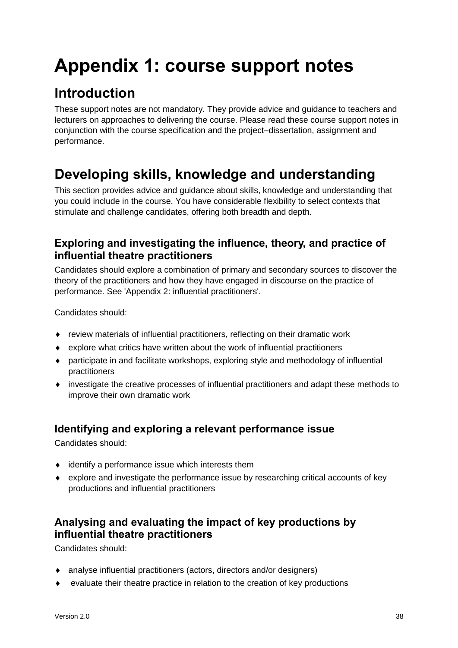# <span id="page-39-0"></span>**Appendix 1: course support notes**

# <span id="page-39-1"></span>**Introduction**

These support notes are not mandatory. They provide advice and guidance to teachers and lecturers on approaches to delivering the course. Please read these course support notes in conjunction with the course specification and the project–dissertation, assignment and performance.

# <span id="page-39-2"></span>**Developing skills, knowledge and understanding**

This section provides advice and guidance about skills, knowledge and understanding that you could include in the course. You have considerable flexibility to select contexts that stimulate and challenge candidates, offering both breadth and depth.

### **Exploring and investigating the influence, theory, and practice of influential theatre practitioners**

Candidates should explore a combination of primary and secondary sources to discover the theory of the practitioners and how they have engaged in discourse on the practice of performance. See 'Appendix 2: influential practitioners'.

Candidates should:

- review materials of influential practitioners, reflecting on their dramatic work
- explore what critics have written about the work of influential practitioners
- participate in and facilitate workshops, exploring style and methodology of influential practitioners
- investigate the creative processes of influential practitioners and adapt these methods to improve their own dramatic work

### **Identifying and exploring a relevant performance issue**

Candidates should:

- $\bullet$  identify a performance issue which interests them
- explore and investigate the performance issue by researching critical accounts of key productions and influential practitioners

### **Analysing and evaluating the impact of key productions by influential theatre practitioners**

Candidates should:

- analyse influential practitioners (actors, directors and/or designers)
- evaluate their theatre practice in relation to the creation of key productions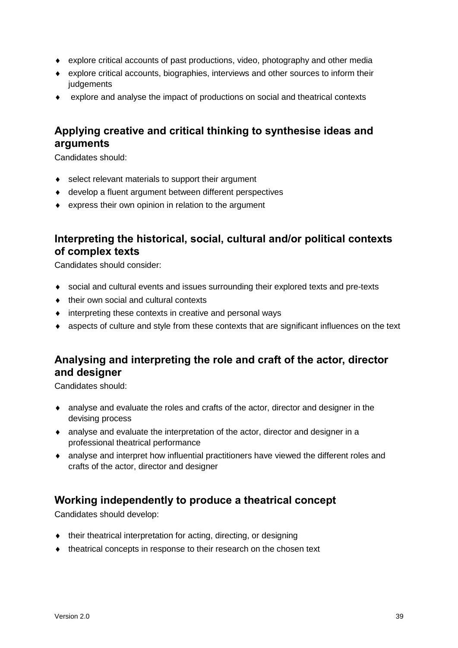- explore critical accounts of past productions, video, photography and other media
- explore critical accounts, biographies, interviews and other sources to inform their judgements
- explore and analyse the impact of productions on social and theatrical contexts

### **Applying creative and critical thinking to synthesise ideas and arguments**

Candidates should:

- ◆ select relevant materials to support their argument
- develop a fluent argument between different perspectives
- express their own opinion in relation to the argument

### **Interpreting the historical, social, cultural and/or political contexts of complex texts**

Candidates should consider:

- social and cultural events and issues surrounding their explored texts and pre-texts
- $\bullet$  their own social and cultural contexts
- interpreting these contexts in creative and personal ways
- aspects of culture and style from these contexts that are significant influences on the text

### **Analysing and interpreting the role and craft of the actor, director and designer**

Candidates should:

- analyse and evaluate the roles and crafts of the actor, director and designer in the devising process
- analyse and evaluate the interpretation of the actor, director and designer in a professional theatrical performance
- analyse and interpret how influential practitioners have viewed the different roles and crafts of the actor, director and designer

### **Working independently to produce a theatrical concept**

Candidates should develop:

- their theatrical interpretation for acting, directing, or designing
- $\bullet$  theatrical concepts in response to their research on the chosen text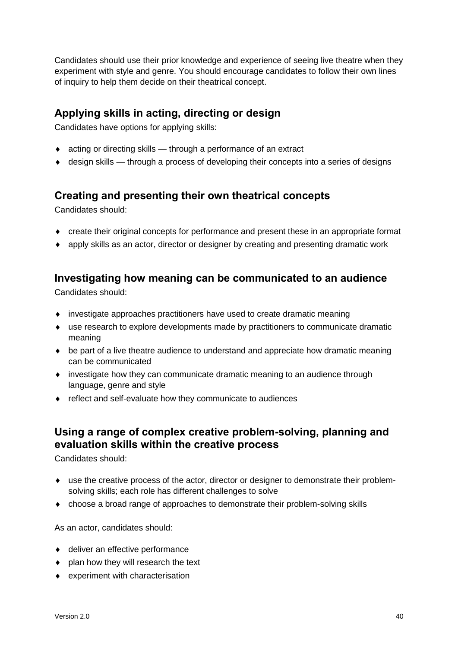Candidates should use their prior knowledge and experience of seeing live theatre when they experiment with style and genre. You should encourage candidates to follow their own lines of inquiry to help them decide on their theatrical concept.

### **Applying skills in acting, directing or design**

Candidates have options for applying skills:

- acting or directing skills through a performance of an extract
- design skills through a process of developing their concepts into a series of designs

### **Creating and presenting their own theatrical concepts**

Candidates should:

- create their original concepts for performance and present these in an appropriate format
- apply skills as an actor, director or designer by creating and presenting dramatic work

### **Investigating how meaning can be communicated to an audience**

Candidates should:

- investigate approaches practitioners have used to create dramatic meaning
- use research to explore developments made by practitioners to communicate dramatic meaning
- be part of a live theatre audience to understand and appreciate how dramatic meaning can be communicated
- investigate how they can communicate dramatic meaning to an audience through language, genre and style
- reflect and self-evaluate how they communicate to audiences

### **Using a range of complex creative problem-solving, planning and evaluation skills within the creative process**

Candidates should:

- use the creative process of the actor, director or designer to demonstrate their problemsolving skills; each role has different challenges to solve
- choose a broad range of approaches to demonstrate their problem-solving skills

As an actor, candidates should:

- ◆ deliver an effective performance
- plan how they will research the text
- experiment with characterisation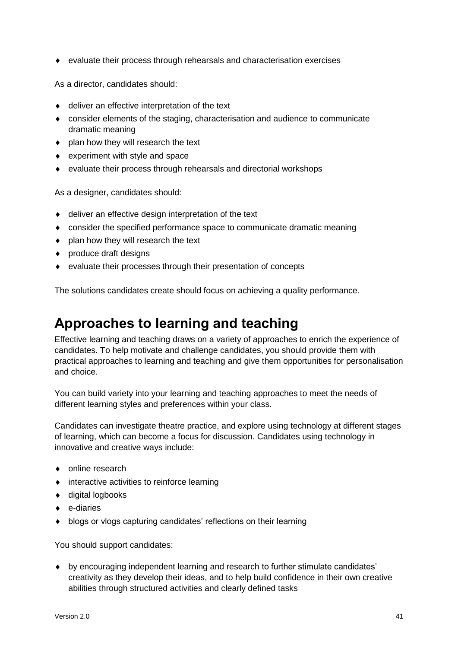evaluate their process through rehearsals and characterisation exercises

As a director, candidates should:

- ◆ deliver an effective interpretation of the text
- consider elements of the staging, characterisation and audience to communicate dramatic meaning
- plan how they will research the text
- experiment with style and space
- evaluate their process through rehearsals and directorial workshops

As a designer, candidates should:

- deliver an effective design interpretation of the text
- consider the specified performance space to communicate dramatic meaning
- plan how they will research the text
- ◆ produce draft designs
- evaluate their processes through their presentation of concepts

The solutions candidates create should focus on achieving a quality performance.

## <span id="page-42-0"></span>**Approaches to learning and teaching**

Effective learning and teaching draws on a variety of approaches to enrich the experience of candidates. To help motivate and challenge candidates, you should provide them with practical approaches to learning and teaching and give them opportunities for personalisation and choice.

You can build variety into your learning and teaching approaches to meet the needs of different learning styles and preferences within your class.

Candidates can investigate theatre practice, and explore using technology at different stages of learning, which can become a focus for discussion. Candidates using technology in innovative and creative ways include:

- online research
- $\bullet$  interactive activities to reinforce learning
- ◆ digital logbooks
- $\leftarrow$  e-diaries
- blogs or vlogs capturing candidates' reflections on their learning

You should support candidates:

 by encouraging independent learning and research to further stimulate candidates' creativity as they develop their ideas, and to help build confidence in their own creative abilities through structured activities and clearly defined tasks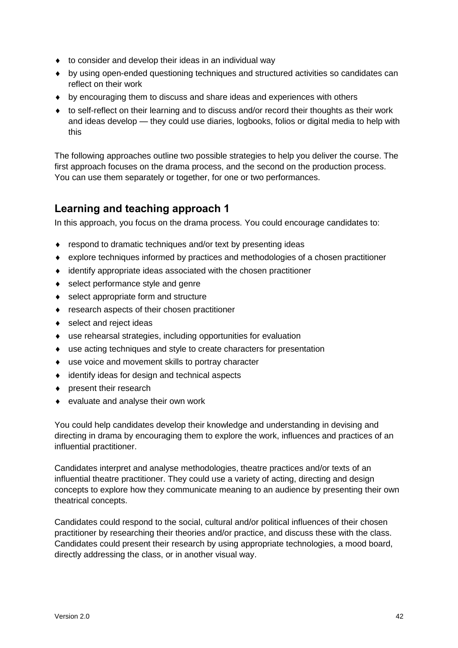- $\bullet$  to consider and develop their ideas in an individual way
- by using open-ended questioning techniques and structured activities so candidates can reflect on their work
- by encouraging them to discuss and share ideas and experiences with others
- to self-reflect on their learning and to discuss and/or record their thoughts as their work and ideas develop — they could use diaries, logbooks, folios or digital media to help with this

The following approaches outline two possible strategies to help you deliver the course. The first approach focuses on the drama process, and the second on the production process. You can use them separately or together, for one or two performances.

### **Learning and teaching approach 1**

In this approach, you focus on the drama process. You could encourage candidates to:

- ◆ respond to dramatic techniques and/or text by presenting ideas
- explore techniques informed by practices and methodologies of a chosen practitioner
- identify appropriate ideas associated with the chosen practitioner
- ◆ select performance style and genre
- ◆ select appropriate form and structure
- research aspects of their chosen practitioner
- ◆ select and reject ideas
- use rehearsal strategies, including opportunities for evaluation
- use acting techniques and style to create characters for presentation
- use voice and movement skills to portray character
- identify ideas for design and technical aspects
- ◆ present their research
- ◆ evaluate and analyse their own work

You could help candidates develop their knowledge and understanding in devising and directing in drama by encouraging them to explore the work, influences and practices of an influential practitioner.

Candidates interpret and analyse methodologies, theatre practices and/or texts of an influential theatre practitioner. They could use a variety of acting, directing and design concepts to explore how they communicate meaning to an audience by presenting their own theatrical concepts.

Candidates could respond to the social, cultural and/or political influences of their chosen practitioner by researching their theories and/or practice, and discuss these with the class. Candidates could present their research by using appropriate technologies, a mood board, directly addressing the class, or in another visual way.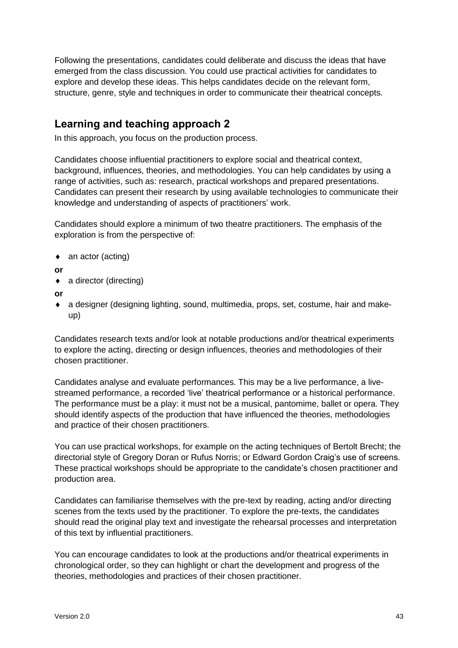Following the presentations, candidates could deliberate and discuss the ideas that have emerged from the class discussion. You could use practical activities for candidates to explore and develop these ideas. This helps candidates decide on the relevant form, structure, genre, style and techniques in order to communicate their theatrical concepts.

### **Learning and teaching approach 2**

In this approach, you focus on the production process.

Candidates choose influential practitioners to explore social and theatrical context, background, influences, theories, and methodologies. You can help candidates by using a range of activities, such as: research, practical workshops and prepared presentations. Candidates can present their research by using available technologies to communicate their knowledge and understanding of aspects of practitioners' work.

Candidates should explore a minimum of two theatre practitioners. The emphasis of the exploration is from the perspective of:

- ◆ an actor (acting)
- **or**
- ◆ a director (directing)
- **or**
- a designer (designing lighting, sound, multimedia, props, set, costume, hair and makeup)

Candidates research texts and/or look at notable productions and/or theatrical experiments to explore the acting, directing or design influences, theories and methodologies of their chosen practitioner.

Candidates analyse and evaluate performances. This may be a live performance, a livestreamed performance, a recorded 'live' theatrical performance or a historical performance. The performance must be a play: it must not be a musical, pantomime, ballet or opera. They should identify aspects of the production that have influenced the theories, methodologies and practice of their chosen practitioners.

You can use practical workshops, for example on the acting techniques of Bertolt Brecht; the directorial style of Gregory Doran or Rufus Norris; or Edward Gordon Craig's use of screens. These practical workshops should be appropriate to the candidate's chosen practitioner and production area.

Candidates can familiarise themselves with the pre-text by reading, acting and/or directing scenes from the texts used by the practitioner. To explore the pre-texts, the candidates should read the original play text and investigate the rehearsal processes and interpretation of this text by influential practitioners.

You can encourage candidates to look at the productions and/or theatrical experiments in chronological order, so they can highlight or chart the development and progress of the theories, methodologies and practices of their chosen practitioner.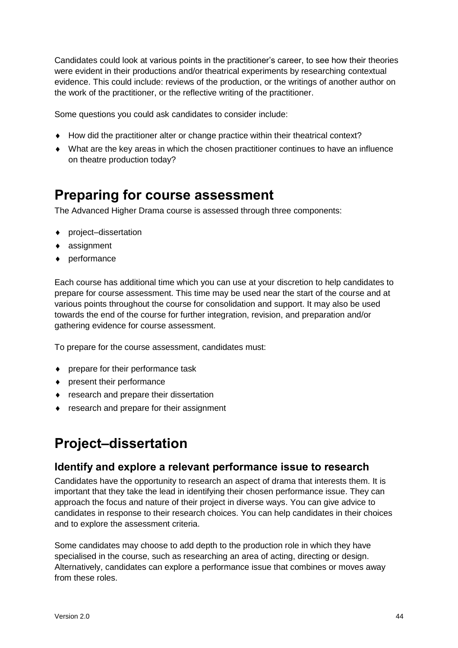Candidates could look at various points in the practitioner's career, to see how their theories were evident in their productions and/or theatrical experiments by researching contextual evidence. This could include: reviews of the production, or the writings of another author on the work of the practitioner, or the reflective writing of the practitioner.

Some questions you could ask candidates to consider include:

- ◆ How did the practitioner alter or change practice within their theatrical context?
- What are the key areas in which the chosen practitioner continues to have an influence on theatre production today?

## <span id="page-45-0"></span>**Preparing for course assessment**

The Advanced Higher Drama course is assessed through three components:

- ◆ project–dissertation
- ◆ assignment
- ◆ performance

Each course has additional time which you can use at your discretion to help candidates to prepare for course assessment. This time may be used near the start of the course and at various points throughout the course for consolidation and support. It may also be used towards the end of the course for further integration, revision, and preparation and/or gathering evidence for course assessment.

To prepare for the course assessment, candidates must:

- prepare for their performance task
- present their performance
- research and prepare their dissertation
- research and prepare for their assignment

# <span id="page-45-1"></span>**Project–dissertation**

### **Identify and explore a relevant performance issue to research**

Candidates have the opportunity to research an aspect of drama that interests them. It is important that they take the lead in identifying their chosen performance issue. They can approach the focus and nature of their project in diverse ways. You can give advice to candidates in response to their research choices. You can help candidates in their choices and to explore the assessment criteria.

Some candidates may choose to add depth to the production role in which they have specialised in the course, such as researching an area of acting, directing or design. Alternatively, candidates can explore a performance issue that combines or moves away from these roles.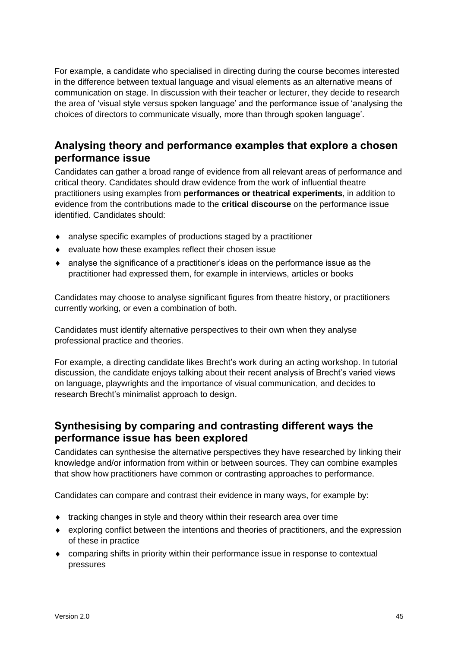For example, a candidate who specialised in directing during the course becomes interested in the difference between textual language and visual elements as an alternative means of communication on stage. In discussion with their teacher or lecturer, they decide to research the area of 'visual style versus spoken language' and the performance issue of 'analysing the choices of directors to communicate visually, more than through spoken language'.

### **Analysing theory and performance examples that explore a chosen performance issue**

Candidates can gather a broad range of evidence from all relevant areas of performance and critical theory. Candidates should draw evidence from the work of influential theatre practitioners using examples from **performances or theatrical experiments**, in addition to evidence from the contributions made to the **critical discourse** on the performance issue identified. Candidates should:

- analyse specific examples of productions staged by a practitioner
- evaluate how these examples reflect their chosen issue
- analyse the significance of a practitioner's ideas on the performance issue as the practitioner had expressed them, for example in interviews, articles or books

Candidates may choose to analyse significant figures from theatre history, or practitioners currently working, or even a combination of both.

Candidates must identify alternative perspectives to their own when they analyse professional practice and theories.

For example, a directing candidate likes Brecht's work during an acting workshop. In tutorial discussion, the candidate enjoys talking about their recent analysis of Brecht's varied views on language, playwrights and the importance of visual communication, and decides to research Brecht's minimalist approach to design.

### **Synthesising by comparing and contrasting different ways the performance issue has been explored**

Candidates can synthesise the alternative perspectives they have researched by linking their knowledge and/or information from within or between sources. They can combine examples that show how practitioners have common or contrasting approaches to performance.

Candidates can compare and contrast their evidence in many ways, for example by:

- tracking changes in style and theory within their research area over time
- exploring conflict between the intentions and theories of practitioners, and the expression of these in practice
- comparing shifts in priority within their performance issue in response to contextual pressures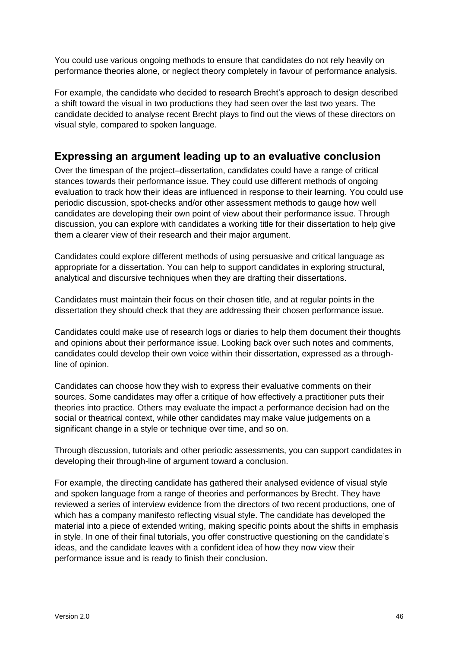You could use various ongoing methods to ensure that candidates do not rely heavily on performance theories alone, or neglect theory completely in favour of performance analysis.

For example, the candidate who decided to research Brecht's approach to design described a shift toward the visual in two productions they had seen over the last two years. The candidate decided to analyse recent Brecht plays to find out the views of these directors on visual style, compared to spoken language.

### **Expressing an argument leading up to an evaluative conclusion**

Over the timespan of the project–dissertation, candidates could have a range of critical stances towards their performance issue. They could use different methods of ongoing evaluation to track how their ideas are influenced in response to their learning. You could use periodic discussion, spot-checks and/or other assessment methods to gauge how well candidates are developing their own point of view about their performance issue. Through discussion, you can explore with candidates a working title for their dissertation to help give them a clearer view of their research and their major argument.

Candidates could explore different methods of using persuasive and critical language as appropriate for a dissertation. You can help to support candidates in exploring structural, analytical and discursive techniques when they are drafting their dissertations.

Candidates must maintain their focus on their chosen title, and at regular points in the dissertation they should check that they are addressing their chosen performance issue.

Candidates could make use of research logs or diaries to help them document their thoughts and opinions about their performance issue. Looking back over such notes and comments, candidates could develop their own voice within their dissertation, expressed as a throughline of opinion.

Candidates can choose how they wish to express their evaluative comments on their sources. Some candidates may offer a critique of how effectively a practitioner puts their theories into practice. Others may evaluate the impact a performance decision had on the social or theatrical context, while other candidates may make value judgements on a significant change in a style or technique over time, and so on.

Through discussion, tutorials and other periodic assessments, you can support candidates in developing their through-line of argument toward a conclusion.

For example, the directing candidate has gathered their analysed evidence of visual style and spoken language from a range of theories and performances by Brecht. They have reviewed a series of interview evidence from the directors of two recent productions, one of which has a company manifesto reflecting visual style. The candidate has developed the material into a piece of extended writing, making specific points about the shifts in emphasis in style. In one of their final tutorials, you offer constructive questioning on the candidate's ideas, and the candidate leaves with a confident idea of how they now view their performance issue and is ready to finish their conclusion.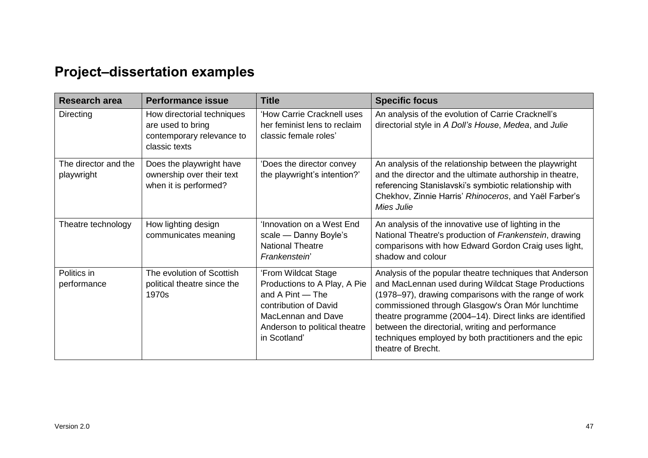# **Project–dissertation examples**

<span id="page-48-0"></span>

| <b>Research area</b>               | <b>Performance issue</b>                                                                      | <b>Title</b>                                                                                                                                                                   | <b>Specific focus</b>                                                                                                                                                                                                                                                                                                                                                                                                         |
|------------------------------------|-----------------------------------------------------------------------------------------------|--------------------------------------------------------------------------------------------------------------------------------------------------------------------------------|-------------------------------------------------------------------------------------------------------------------------------------------------------------------------------------------------------------------------------------------------------------------------------------------------------------------------------------------------------------------------------------------------------------------------------|
| Directing                          | How directorial techniques<br>are used to bring<br>contemporary relevance to<br>classic texts | 'How Carrie Cracknell uses<br>her feminist lens to reclaim<br>classic female roles'                                                                                            | An analysis of the evolution of Carrie Cracknell's<br>directorial style in A Doll's House, Medea, and Julie                                                                                                                                                                                                                                                                                                                   |
| The director and the<br>playwright | Does the playwright have<br>ownership over their text<br>when it is performed?                | 'Does the director convey<br>the playwright's intention?'                                                                                                                      | An analysis of the relationship between the playwright<br>and the director and the ultimate authorship in theatre,<br>referencing Stanislavski's symbiotic relationship with<br>Chekhov, Zinnie Harris' Rhinoceros, and Yaël Farber's<br>Mies Julie                                                                                                                                                                           |
| Theatre technology                 | How lighting design<br>communicates meaning                                                   | 'Innovation on a West End<br>scale — Danny Boyle's<br><b>National Theatre</b><br>Frankenstein'                                                                                 | An analysis of the innovative use of lighting in the<br>National Theatre's production of Frankenstein, drawing<br>comparisons with how Edward Gordon Craig uses light,<br>shadow and colour                                                                                                                                                                                                                                   |
| Politics in<br>performance         | The evolution of Scottish<br>political theatre since the<br>1970s                             | 'From Wildcat Stage<br>Productions to A Play, A Pie<br>and A Pint - The<br>contribution of David<br><b>MacLennan and Dave</b><br>Anderson to political theatre<br>in Scotland' | Analysis of the popular theatre techniques that Anderson<br>and MacLennan used during Wildcat Stage Productions<br>(1978–97), drawing comparisons with the range of work<br>commissioned through Glasgow's Oran Mór lunchtime<br>theatre programme (2004–14). Direct links are identified<br>between the directorial, writing and performance<br>techniques employed by both practitioners and the epic<br>theatre of Brecht. |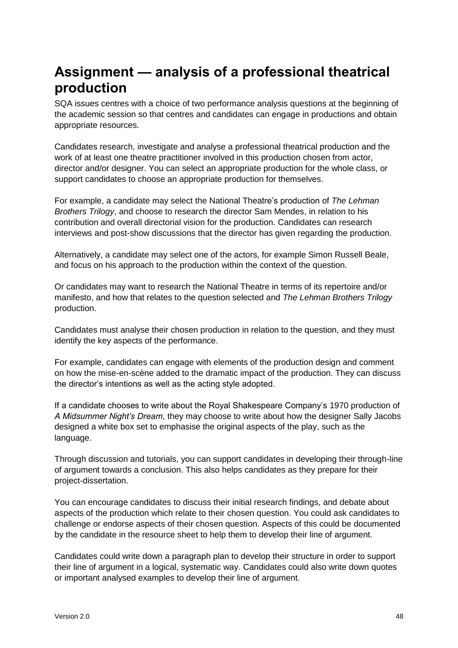# <span id="page-49-0"></span>**Assignment — analysis of a professional theatrical production**

SQA issues centres with a choice of two performance analysis questions at the beginning of the academic session so that centres and candidates can engage in productions and obtain appropriate resources.

Candidates research, investigate and analyse a professional theatrical production and the work of at least one theatre practitioner involved in this production chosen from actor, director and/or designer. You can select an appropriate production for the whole class, or support candidates to choose an appropriate production for themselves.

For example, a candidate may select the National Theatre's production of *The Lehman Brothers Trilogy*, and choose to research the director Sam Mendes, in relation to his contribution and overall directorial vision for the production. Candidates can research interviews and post-show discussions that the director has given regarding the production.

Alternatively, a candidate may select one of the actors, for example Simon Russell Beale, and focus on his approach to the production within the context of the question.

Or candidates may want to research the National Theatre in terms of its repertoire and/or manifesto, and how that relates to the question selected and *The Lehman Brothers Trilogy*  production.

Candidates must analyse their chosen production in relation to the question, and they must identify the key aspects of the performance.

For example, candidates can engage with elements of the production design and comment on how the mise-en-scène added to the dramatic impact of the production. They can discuss the director's intentions as well as the acting style adopted.

If a candidate chooses to write about the Royal Shakespeare Company's 1970 production of *A Midsummer Night's Dream*, they may choose to write about how the designer Sally Jacobs designed a white box set to emphasise the original aspects of the play, such as the language.

Through discussion and tutorials, you can support candidates in developing their through-line of argument towards a conclusion. This also helps candidates as they prepare for their project-dissertation.

You can encourage candidates to discuss their initial research findings, and debate about aspects of the production which relate to their chosen question. You could ask candidates to challenge or endorse aspects of their chosen question. Aspects of this could be documented by the candidate in the resource sheet to help them to develop their line of argument.

Candidates could write down a paragraph plan to develop their structure in order to support their line of argument in a logical, systematic way. Candidates could also write down quotes or important analysed examples to develop their line of argument.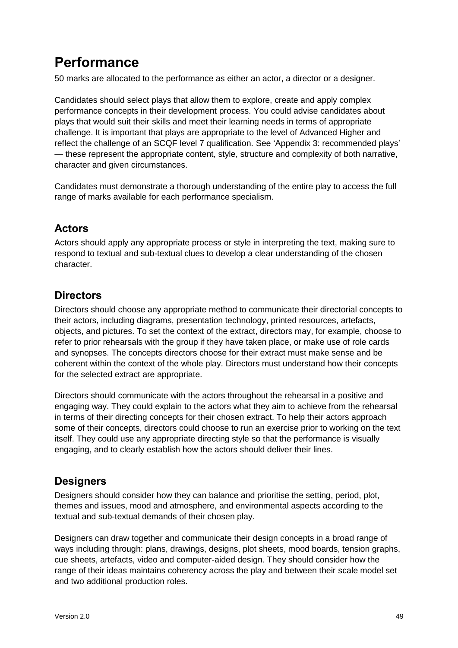# <span id="page-50-0"></span>**Performance**

50 marks are allocated to the performance as either an actor, a director or a designer.

Candidates should select plays that allow them to explore, create and apply complex performance concepts in their development process. You could advise candidates about plays that would suit their skills and meet their learning needs in terms of appropriate challenge. It is important that plays are appropriate to the level of Advanced Higher and reflect the challenge of an SCQF level 7 qualification. See 'Appendix 3: recommended plays' — these represent the appropriate content, style, structure and complexity of both narrative, character and given circumstances.

Candidates must demonstrate a thorough understanding of the entire play to access the full range of marks available for each performance specialism.

### **Actors**

Actors should apply any appropriate process or style in interpreting the text, making sure to respond to textual and sub-textual clues to develop a clear understanding of the chosen character.

### **Directors**

Directors should choose any appropriate method to communicate their directorial concepts to their actors, including diagrams, presentation technology, printed resources, artefacts, objects, and pictures. To set the context of the extract, directors may, for example, choose to refer to prior rehearsals with the group if they have taken place, or make use of role cards and synopses. The concepts directors choose for their extract must make sense and be coherent within the context of the whole play. Directors must understand how their concepts for the selected extract are appropriate.

Directors should communicate with the actors throughout the rehearsal in a positive and engaging way. They could explain to the actors what they aim to achieve from the rehearsal in terms of their directing concepts for their chosen extract. To help their actors approach some of their concepts, directors could choose to run an exercise prior to working on the text itself. They could use any appropriate directing style so that the performance is visually engaging, and to clearly establish how the actors should deliver their lines.

### **Designers**

Designers should consider how they can balance and prioritise the setting, period, plot, themes and issues, mood and atmosphere, and environmental aspects according to the textual and sub-textual demands of their chosen play.

Designers can draw together and communicate their design concepts in a broad range of ways including through: plans, drawings, designs, plot sheets, mood boards, tension graphs, cue sheets, artefacts, video and computer-aided design. They should consider how the range of their ideas maintains coherency across the play and between their scale model set and two additional production roles.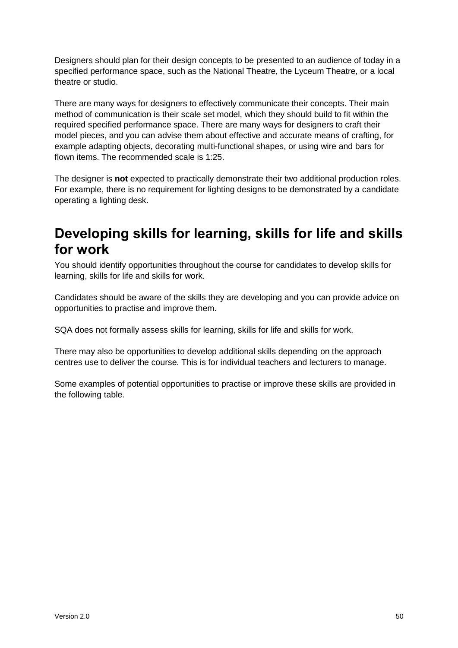Designers should plan for their design concepts to be presented to an audience of today in a specified performance space, such as the National Theatre, the Lyceum Theatre, or a local theatre or studio.

There are many ways for designers to effectively communicate their concepts. Their main method of communication is their scale set model, which they should build to fit within the required specified performance space. There are many ways for designers to craft their model pieces, and you can advise them about effective and accurate means of crafting, for example adapting objects, decorating multi-functional shapes, or using wire and bars for flown items. The recommended scale is 1:25.

The designer is **not** expected to practically demonstrate their two additional production roles. For example, there is no requirement for lighting designs to be demonstrated by a candidate operating a lighting desk.

# <span id="page-51-0"></span>**Developing skills for learning, skills for life and skills for work**

You should identify opportunities throughout the course for candidates to develop skills for learning, skills for life and skills for work.

Candidates should be aware of the skills they are developing and you can provide advice on opportunities to practise and improve them.

SQA does not formally assess skills for learning, skills for life and skills for work.

There may also be opportunities to develop additional skills depending on the approach centres use to deliver the course. This is for individual teachers and lecturers to manage.

Some examples of potential opportunities to practise or improve these skills are provided in the following table.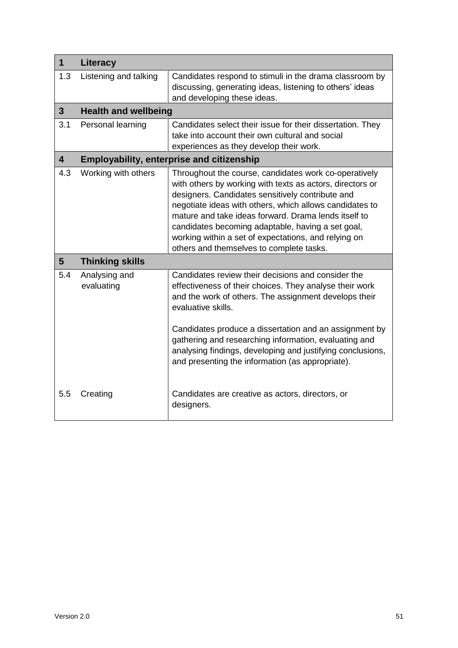| $\mathbf 1$             | Literacy                    |                                                                                                                                                                                                                                                                                                                                                                                                                                                    |  |  |
|-------------------------|-----------------------------|----------------------------------------------------------------------------------------------------------------------------------------------------------------------------------------------------------------------------------------------------------------------------------------------------------------------------------------------------------------------------------------------------------------------------------------------------|--|--|
| 1.3                     | Listening and talking       | Candidates respond to stimuli in the drama classroom by<br>discussing, generating ideas, listening to others' ideas<br>and developing these ideas.                                                                                                                                                                                                                                                                                                 |  |  |
| 3 <sup>5</sup>          | <b>Health and wellbeing</b> |                                                                                                                                                                                                                                                                                                                                                                                                                                                    |  |  |
| 3.1                     | Personal learning           | Candidates select their issue for their dissertation. They<br>take into account their own cultural and social<br>experiences as they develop their work.                                                                                                                                                                                                                                                                                           |  |  |
| $\overline{\mathbf{4}}$ |                             | <b>Employability, enterprise and citizenship</b>                                                                                                                                                                                                                                                                                                                                                                                                   |  |  |
| 4.3                     | Working with others         | Throughout the course, candidates work co-operatively<br>with others by working with texts as actors, directors or<br>designers. Candidates sensitively contribute and<br>negotiate ideas with others, which allows candidates to<br>mature and take ideas forward. Drama lends itself to<br>candidates becoming adaptable, having a set goal,<br>working within a set of expectations, and relying on<br>others and themselves to complete tasks. |  |  |
| 5                       | <b>Thinking skills</b>      |                                                                                                                                                                                                                                                                                                                                                                                                                                                    |  |  |
| 5.4                     | Analysing and<br>evaluating | Candidates review their decisions and consider the<br>effectiveness of their choices. They analyse their work<br>and the work of others. The assignment develops their<br>evaluative skills.<br>Candidates produce a dissertation and an assignment by<br>gathering and researching information, evaluating and                                                                                                                                    |  |  |
| 5.5                     | Creating                    | analysing findings, developing and justifying conclusions,<br>and presenting the information (as appropriate).<br>Candidates are creative as actors, directors, or<br>designers.                                                                                                                                                                                                                                                                   |  |  |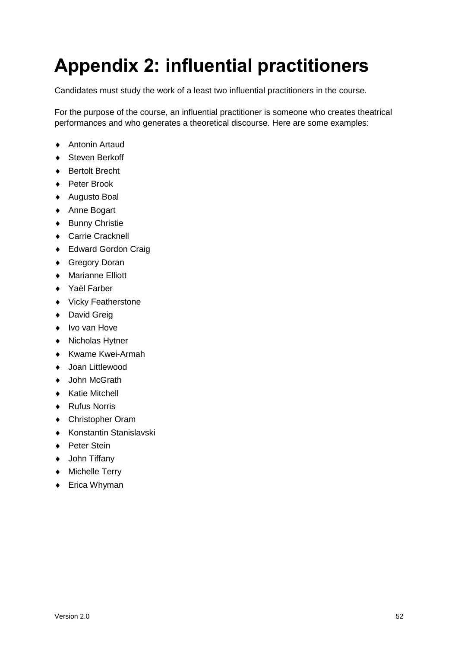# <span id="page-53-0"></span>**Appendix 2: influential practitioners**

Candidates must study the work of a least two influential practitioners in the course.

For the purpose of the course, an influential practitioner is someone who creates theatrical performances and who generates a theoretical discourse. Here are some examples:

- ◆ Antonin Artaud
- ◆ Steven Berkoff
- ◆ Bertolt Brecht
- ◆ Peter Brook
- ◆ Augusto Boal
- ◆ Anne Bogart
- ◆ Bunny Christie
- Carrie Cracknell
- ◆ Edward Gordon Craig
- ◆ Gregory Doran
- Marianne Elliott
- ◆ Yaël Farber
- Vicky Featherstone
- ◆ David Greig
- Ivo van Hove
- ◆ Nicholas Hytner
- ◆ Kwame Kwei-Armah
- ◆ Joan Littlewood
- ◆ John McGrath
- ◆ Katie Mitchell
- ◆ Rufus Norris
- Christopher Oram
- Konstantin Stanislavski
- ◆ Peter Stein
- ◆ John Tiffany
- Michelle Terry
- ◆ Erica Whyman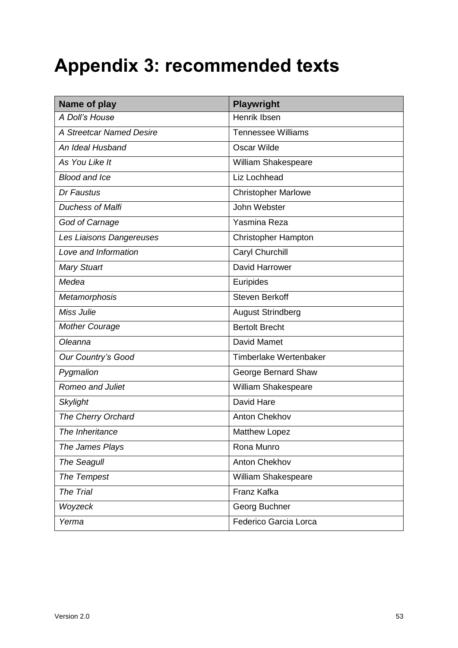# <span id="page-54-0"></span>**Appendix 3: recommended texts**

| Name of play             | <b>Playwright</b>          |
|--------------------------|----------------------------|
| A Doll's House           | Henrik Ibsen               |
| A Streetcar Named Desire | <b>Tennessee Williams</b>  |
| An Ideal Husband         | <b>Oscar Wilde</b>         |
| As You Like It           | William Shakespeare        |
| <b>Blood and Ice</b>     | Liz Lochhead               |
| Dr Faustus               | <b>Christopher Marlowe</b> |
| <b>Duchess of Malfi</b>  | John Webster               |
| God of Carnage           | Yasmina Reza               |
| Les Liaisons Dangereuses | <b>Christopher Hampton</b> |
| Love and Information     | Caryl Churchill            |
| <b>Mary Stuart</b>       | David Harrower             |
| Medea                    | Euripides                  |
| Metamorphosis            | <b>Steven Berkoff</b>      |
| Miss Julie               | <b>August Strindberg</b>   |
| <b>Mother Courage</b>    | <b>Bertolt Brecht</b>      |
| Oleanna                  | <b>David Mamet</b>         |
| Our Country's Good       | Timberlake Wertenbaker     |
| Pygmalion                | George Bernard Shaw        |
| <b>Romeo and Juliet</b>  | William Shakespeare        |
| <b>Skylight</b>          | David Hare                 |
| The Cherry Orchard       | <b>Anton Chekhov</b>       |
| The Inheritance          | Matthew Lopez              |
| The James Plays          | Rona Munro                 |
| <b>The Seagull</b>       | <b>Anton Chekhov</b>       |
| The Tempest              | William Shakespeare        |
| The Trial                | Franz Kafka                |
| Woyzeck                  | Georg Buchner              |
| Yerma                    | Federico Garcia Lorca      |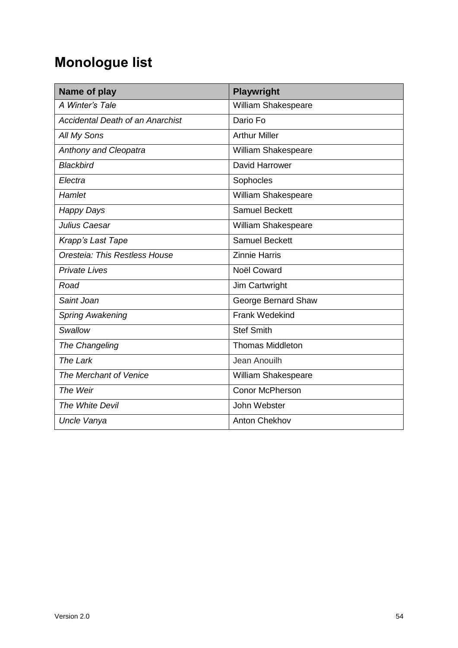# **Monologue list**

| Name of play                            | <b>Playwright</b>          |
|-----------------------------------------|----------------------------|
| A Winter's Tale                         | William Shakespeare        |
| <b>Accidental Death of an Anarchist</b> | Dario Fo                   |
| All My Sons                             | <b>Arthur Miller</b>       |
| <b>Anthony and Cleopatra</b>            | William Shakespeare        |
| <b>Blackbird</b>                        | David Harrower             |
| Electra                                 | Sophocles                  |
| Hamlet                                  | <b>William Shakespeare</b> |
| <b>Happy Days</b>                       | <b>Samuel Beckett</b>      |
| Julius Caesar                           | William Shakespeare        |
| Krapp's Last Tape                       | <b>Samuel Beckett</b>      |
| Oresteia: This Restless House           | <b>Zinnie Harris</b>       |
| <b>Private Lives</b>                    | Noël Coward                |
| Road                                    | Jim Cartwright             |
| Saint Joan                              | George Bernard Shaw        |
| <b>Spring Awakening</b>                 | <b>Frank Wedekind</b>      |
| Swallow                                 | <b>Stef Smith</b>          |
| The Changeling                          | <b>Thomas Middleton</b>    |
| The Lark                                | Jean Anouilh               |
| The Merchant of Venice                  | William Shakespeare        |
| The Weir                                | <b>Conor McPherson</b>     |
| The White Devil                         | John Webster               |
| Uncle Vanya                             | <b>Anton Chekhov</b>       |